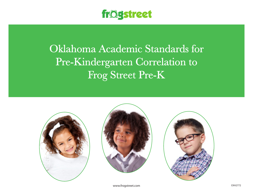

## Oklahoma Academic Standards for Pre-Kindergarten Correlation to Frog Street Pre-K







www.frogstreet.com exhibition is a state of the control of the control of the control of the control of the control of the control of the control of the control of the control of the control of the control of the control o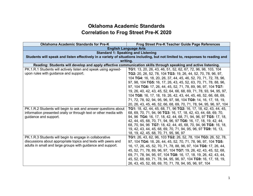## **Oklahoma Academic Standards Correlation to Frog Street Pre-K 2020**

| <b>Oklahoma Academic Standards for Pre-K</b>                     | <b>Frog Street Pre-K Teacher Guide Page References</b>                                                                        |
|------------------------------------------------------------------|-------------------------------------------------------------------------------------------------------------------------------|
|                                                                  | <b>English Language Arts</b>                                                                                                  |
| <b>Standard 1: Speaking and Listening</b>                        |                                                                                                                               |
|                                                                  | Students will speak and listen effectively in a variety of situations including, but not limited to, responses to reading and |
|                                                                  | writing.                                                                                                                      |
|                                                                  | Reading: Students will develop and apply effective communication skills through speaking and active listening.                |
| PK.1.R.1 Students will actively listen and speak using agreed-   | TG1: 13, 20, 26, 43, 46, 51, 52, 62, 67, 72, 96, 98, 103, 104                                                                 |
| upon rules with guidance and support.                            | TG2: 20, 26, 52, 78, 104 TG3: 19, 26, 44, 52, 70, 78, 96, 97,                                                                 |
|                                                                  | 104 TG4: 16, 18, 20, 26, 37, 44, 45, 46, 52, 70, 71, 72, 78, 96,                                                              |
|                                                                  | 97, 98, 104 TG5: 16, 17, 26, 43, 45, 52, 63, 70, 71, 78, 88, 96,                                                              |
|                                                                  | 97, 104 TG6: 17, 26, 44, 45, 52, 71, 78, 89, 96, 97, 104 TG7:                                                                 |
|                                                                  | 19, 26, 40, 42, 43, 45, 52, 64, 66, 68, 69, 71, 78, 93, 94, 95, 97,                                                           |
|                                                                  | 104 TG8: 16, 17, 18, 19, 26, 42, 43, 44, 45, 46, 52, 66, 68, 69,                                                              |
|                                                                  | 71, 72, 78, 92, 94, 95, 96, 97, 98, 104 TG9: 14, 16, 17, 18, 19,                                                              |
|                                                                  | 20, 26, 43, 45, 46, 52, 66, 68, 69, 70, 71, 78, 94, 95, 96, 97, 104                                                           |
| PK.1.R.2 Students will begin to ask and answer questions about   | TG1: 18, 42, 44, 45, 68, 71, 96 TG2: 16, 17, 18, 42, 43, 44, 45,                                                              |
| information presented orally or through text or other media with | 68, 69, 70, 71, 94, 96 TG3: 16, 17, 18, 42, 43, 44, 68, 69, 70,                                                               |
| guidance and support.                                            | 94, 96 TG4: 16, 17, 18, 42, 44, 68, 71, 94, 96, 97 TG5: 17, 18,                                                               |
|                                                                  | 42, 44, 45, 68, 70, 71, 94, 96, 97 TG6: 16, 17, 18, 19, 42, 44,                                                               |
|                                                                  | 68, 70, 94, 96 TG7: 18, 42, 44, 45, 68, 70, 94, 96 TG8: 16, 18,                                                               |
|                                                                  | 19, 42, 43, 44, 45, 68, 69, 70, 71, 94, 95, 96, 97 TG9: 16, 13,                                                               |
|                                                                  | 18, 19, 42, 45, 68, 70, 71, 95, 96, 97                                                                                        |
| PK.1.R.3 Students will begin to engage in collaborative          | TG1: 26, 43, 62, 96, 103 TG2: 26, 52, 78, 104 TG3: 26, 52, 78,                                                                |
| discussions about appropriate topics and texts with peers and    | 97, 104 TG4: 18, 26, 44, 45, 52, 70, 71, 78, 96, 97, 104 TG5:                                                                 |
| adults in small and large groups with guidance and support.      | 16, 17, 26, 45, 52, 70, 71, 78, 88, 96, 97, 104 TG6: 17, 26, 44,                                                              |
|                                                                  | 45, 52, 71, 78, 89, 96, 97, 104 TG7: 19, 26, 42, 43, 45, 52, 68,                                                              |
|                                                                  | 69, 71, 78, 94, 95, 97, 104 TG8: 16, 17, 18, 19, 26, 42, 43, 44,                                                              |
|                                                                  | 45, 52, 68, 69, 71, 78, 94, 95, 96, 97, 104 TG9: 16, 17, 18, 19,                                                              |
|                                                                  | 26, 43, 45, 52, 68, 69, 70, 71, 78, 94, 95, 96, 97, 104                                                                       |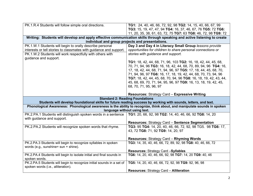| PK.1.R.4 Students will follow simple oral directions.                 | TG1: 24, 40, 46, 66, 72, 92, 98 TG2: 14, 15, 40, 66, 67, 99<br>TG3: 15, 19, 47, 47, 94 TG4: 16, 37, 46, 67, 76 TG5: 72 TG6:                                                                                                                 |
|-----------------------------------------------------------------------|---------------------------------------------------------------------------------------------------------------------------------------------------------------------------------------------------------------------------------------------|
|                                                                       | 11, 20, 35, 38, 61, 63, 72, 75 TG7: 63 TG8: 46, 72, 98 TG9: 72                                                                                                                                                                              |
|                                                                       | Writing: Students will develop and apply effective communication skills through speaking and active listening to create<br>individual and group projects and presentations.                                                                 |
|                                                                       |                                                                                                                                                                                                                                             |
| PK.1.W.1 Students will begin to orally describe personal              | Day 3 and Day 4 in Literacy Small Group lessons provide                                                                                                                                                                                     |
| interests or tell stories to classmates with guidance and support.    | opportunities for children to share personal connections or                                                                                                                                                                                 |
| PK.1.W.2 Students will work respectfully with others with             | stories with guidance and support.                                                                                                                                                                                                          |
| guidance and support.                                                 |                                                                                                                                                                                                                                             |
|                                                                       | TG1: 18, 42, 44, 68, 71, 96, 103 TG2: 16, 18, 42, 44, 45, 68,                                                                                                                                                                               |
|                                                                       | 70, 71, 94, 96 TG3: 16, 18, 42, 44, 68, 70, 89, 94, 96 TG4: 16,                                                                                                                                                                             |
|                                                                       | 17, 18, 42, 44, 68, 71, 94, 96, 97 TG5: 17, 18, 44, 45, 68, 70,                                                                                                                                                                             |
|                                                                       | 71, 94, 96, 97 TG6: 16, 17, 18, 19, 42, 44, 68, 70, 73, 94, 96                                                                                                                                                                              |
|                                                                       | TG7: 18, 42, 44, 45, 68, 70, 94, 96 TG8: 16, 18, 19, 42, 43, 44,                                                                                                                                                                            |
|                                                                       | 45, 68, 69, 70, 71, 94, 95, 96, 97 TG9: 16, 13, 18, 19, 42, 45,                                                                                                                                                                             |
|                                                                       | 68, 70, 71, 95, 96, 97                                                                                                                                                                                                                      |
|                                                                       |                                                                                                                                                                                                                                             |
|                                                                       | Resources: Strategy Card - Expressive Writing                                                                                                                                                                                               |
|                                                                       | <b>Standard 2: Reading Foundations</b>                                                                                                                                                                                                      |
|                                                                       | Students will develop foundational skills for future reading success by working with sounds, letters, and text.<br>Phonological Awareness: Phonological awareness is the ability to recognize, think about, and manipulate sounds in spoken |
|                                                                       | language without using text.                                                                                                                                                                                                                |
| PK.2.PA.1 Students will distinguish spoken words in a sentence        | TG1: 20, 66, 92, 98 TG2: 14, 40, 46, 66, 92 TG8: 14, 20                                                                                                                                                                                     |
| with guidance and support.                                            |                                                                                                                                                                                                                                             |
|                                                                       |                                                                                                                                                                                                                                             |
|                                                                       | <b>Resources: Strategy Card - Sentence Segmentation</b>                                                                                                                                                                                     |
| PK.2.PA.2 Students will recognize spoken words that rhyme.            | TG3: 95 TG4: 14, 20, 40, 46, 66, 72, 92, 98 TG5. 98 TG6: 17,                                                                                                                                                                                |
|                                                                       | 43, 72 TG8: 71, 92 TG9: 14, 20, 97                                                                                                                                                                                                          |
|                                                                       |                                                                                                                                                                                                                                             |
|                                                                       | <b>Resources: Strategy Card - Rhyming Words</b>                                                                                                                                                                                             |
| PK.2.PA.3 Students will begin to recognize syllables in spoken        | TG3: 14, 35, 40, 46, 66, 72, 89, 92, 98 TG8: 40, 46, 66, 72                                                                                                                                                                                 |
| words (e.g., sunshine= sun + shine).                                  |                                                                                                                                                                                                                                             |
|                                                                       | <b>Resources: Strategy Card -Syllables</b>                                                                                                                                                                                                  |
| PK.2.PA.4 Students will begin to isolate initial and final sounds in  | TG6: 14, 20, 40, 46, 66, 92, 98 TG7: 14, 20 TG9: 40, 46                                                                                                                                                                                     |
| spoken words.                                                         |                                                                                                                                                                                                                                             |
| PK.2.PA.5 Students will begin to recognize initial sounds in a set of | TG5: 14, 20, 40, 46, 66, 72, 92, 98 TG9: 92, 96, 98                                                                                                                                                                                         |
| spoken words (i.e., alliteration).                                    | <b>Resources: Strategy Card - Alliteration</b>                                                                                                                                                                                              |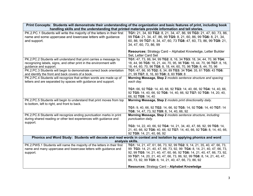| Print Concepts: Students will demonstrate their understanding of the organization and basic features of print, including book |                                                                                                                                             |
|-------------------------------------------------------------------------------------------------------------------------------|---------------------------------------------------------------------------------------------------------------------------------------------|
|                                                                                                                               | handling skills and the understanding that printed materials provide information and tell stories.                                          |
| PK.2.PC.1 Students will write the majority of the letters in their first                                                      | TG1: 21, 34, 60 TG2: 8, 21, 34, 47, 86, 99 TG3: 21, 47, 60, 73, 86,                                                                         |
| name and some uppercase and lowercase letters with guidance                                                                   | 99 TG4: 21, 34, 47, 86, 99 TG5: 8, 21, 60, 86, 99 TG6: 8, 21, 34,                                                                           |
| and support.                                                                                                                  | 60, 86, 99 TG7: 8, 34, 47, 60, 73 TG8: 47, 60, 73, 86, 99 TG9: 21,                                                                          |
|                                                                                                                               | 34, 47, 60, 73, 86, 99                                                                                                                      |
|                                                                                                                               |                                                                                                                                             |
|                                                                                                                               | <b>Resources:</b> Strategy Card - Alphabet Knowledge, Letter Builder                                                                        |
|                                                                                                                               | Set, Letter Card Set                                                                                                                        |
| PK.2.PC.2 Students will understand that print carries a message by                                                            | TG1: 47, 73, 86, 94, 99 TG2: 8, 16, 34 TG3: 18, 34, 44, 70, 96 TG4:                                                                         |
| recognizing labels, signs, and other print in the environment with                                                            | 18, 44, 96 TG5: 16, 21, 44, 70, 95, 96 TG6: 16, 44, 70, 96 TG7: 8, 16,                                                                      |
| guidance and support.                                                                                                         | 18, 44, 60, 70, 96 TG8: 8, 18, 44, 60, 70, 96 TG9: 8, 44, 70, 96                                                                            |
| PK.2.PC.3 Students will begin to demonstrate correct book orientation                                                         | TG1: 47, 86, 95 TG2: 8, 34, 89 TG3: 34 TG4: 35, 61 TG5: 43 TG6:                                                                             |
| and identify the front and back covers of a book.                                                                             | 21, 99 TG7: 8, 16, 60 TG8: 8, 60 TG9: 8                                                                                                     |
| PK.2.PC.4 Students will recognize that written words are made up of                                                           | Morning Message, Step 2 models sentence structure and spacing                                                                               |
| letters and are separated by spaces with guidance and support.                                                                | each day.                                                                                                                                   |
|                                                                                                                               |                                                                                                                                             |
|                                                                                                                               | TG1: 66, 92 TG2: 14, 40, 66, 92 TG3: 14, 40, 66, 92 TG4: 14, 40, 66,<br>92 TG5: 14, 40, 66, 92 TG6: 14, 40, 66, 92 TG7: 92 TG8: 14, 20, 40, |
|                                                                                                                               | 66, 92 TG9: 14, 40                                                                                                                          |
| PK.2.PC.5 Students will begin to understand that print moves from top                                                         | Morning Message, Step 2 models print directionality daily.                                                                                  |
| to bottom, left to right, and front to back.                                                                                  |                                                                                                                                             |
|                                                                                                                               | TG1: 9, 40, 66, 92 TG2: 14, 66, 92 TG5: 14, 92 TG6: 14, 40 TG7: 14                                                                          |
|                                                                                                                               | TG8: 14, 47, 73, 92 TG9: 8, 14, 40, 66, 92                                                                                                  |
| PK.2.PC.6 Students will recognize ending punctuation marks in print                                                           | Morning Message, Step 2 models sentence structure, including                                                                                |
| during shared reading or other text experiences with guidance and                                                             | punctuation daily.                                                                                                                          |
| support.                                                                                                                      |                                                                                                                                             |
|                                                                                                                               | TG3: 14, 22, 40, 66, 92 TG4: 14, 21, 34, 40, 47, 66, 92, 99 TG5: 14,                                                                        |
|                                                                                                                               | 21, 40, 66, 92 TG6: 40, 66, 92 TG7: 14, 40, 66, 92 TG8: 8, 14, 40, 66,                                                                      |
|                                                                                                                               | 92 TG9: 14, 21, 40, 66, 92                                                                                                                  |
|                                                                                                                               | Phonics and Word Study: Students will decode and read words in context and isolation by applying phonics and word                           |
| analysis skills.                                                                                                              |                                                                                                                                             |
| PK.2.PWS.1 Students will name the majority of the letters in their first                                                      | TG1: 14, 21, 47, 61, 66, 73, 92, 99 TG2: 9, 14, 21, 35, 40, 47, 66, 73,                                                                     |
| name and many uppercase and lowercase letters with guidance and                                                               | 99 TG3: 14, 21, 40, 47, 66, 73, 92, 99 TG4: 8, 14, 21, 40, 47, 66, 73,                                                                      |
| support.                                                                                                                      | 92, 99 TG5: 14, 21, 40, 47, 60, 66, 92 TG6: 14, 21, 40, 47, 66, 73, 92,                                                                     |
|                                                                                                                               | 99 TG7: 14, 20, 21, 40, 47, 66, 73, 86, 92, 99 TG8: 8, 14, 21, 40, 47,                                                                      |
|                                                                                                                               | 66, 73, 92, 99 TG9: 8, 14, 21, 40, 47, 66, 73, 86, 92                                                                                       |
|                                                                                                                               | Resources: Strategy Card - Alphabet Knowledge                                                                                               |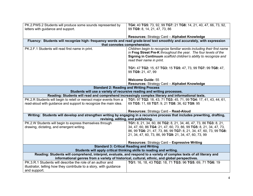| PK.2.PWS.2 Students will produce some sounds represented by                                                                                                                                                            | TG4: 40 TG5: 73, 92, 99 TG7: 21 TG8: 14, 21, 40, 47, 66, 73, 92,                                                                                                                                                                                                        |
|------------------------------------------------------------------------------------------------------------------------------------------------------------------------------------------------------------------------|-------------------------------------------------------------------------------------------------------------------------------------------------------------------------------------------------------------------------------------------------------------------------|
| letters with guidance and support.                                                                                                                                                                                     | 99 TG9: 8, 14, 21, 47, 73, 86                                                                                                                                                                                                                                           |
|                                                                                                                                                                                                                        |                                                                                                                                                                                                                                                                         |
|                                                                                                                                                                                                                        | Resources: Strategy Card - Alphabet Knowledge                                                                                                                                                                                                                           |
|                                                                                                                                                                                                                        | Fluency: Students will recognize high- frequency words and read grade-level text smoothly and accurately, with expression                                                                                                                                               |
|                                                                                                                                                                                                                        | that connotes comprehension.                                                                                                                                                                                                                                            |
| PK.2.F.1 Students will read first name in print.                                                                                                                                                                       | Children begin to recognize familiar words including their first name<br>in Frog Street Pre-K throughout the year. The four levels of the<br>Signing in Continuum scaffold children's ability to recognize and<br>read their name in print.                             |
|                                                                                                                                                                                                                        | TG1: 47 TG2: 15, 67 TG3: 15 TG5: 47, 73, 99 TG7: 99 TG8: 47,<br>99 TG9: 21, 47, 99                                                                                                                                                                                      |
|                                                                                                                                                                                                                        | <b>Welcome Guide: 55</b>                                                                                                                                                                                                                                                |
|                                                                                                                                                                                                                        | Resources: Strategy Card - Alphabet Knowledge                                                                                                                                                                                                                           |
| <b>Standard 2: Reading and Writing Process</b>                                                                                                                                                                         |                                                                                                                                                                                                                                                                         |
| Students will use a variety of recursive reading and writing processes.                                                                                                                                                |                                                                                                                                                                                                                                                                         |
| Reading: Students will read and comprehend increasingly complex literary and informational texts.                                                                                                                      |                                                                                                                                                                                                                                                                         |
| PK.2.R Students will begin to retell or reenact major events from a                                                                                                                                                    | TG1: 97 TG2: 18, 43, 71 TG3: 45, 71, 99 TG4: 17, 41, 43, 44, 61,                                                                                                                                                                                                        |
| read-aloud with guidance and support to recognize the main idea.                                                                                                                                                       | 69 TG5: 11, 68 TG7: 9, 21 TG8: 36, 62 TG9: 95                                                                                                                                                                                                                           |
|                                                                                                                                                                                                                        | Resources: Strategy Card - Read-Aloud                                                                                                                                                                                                                                   |
|                                                                                                                                                                                                                        |                                                                                                                                                                                                                                                                         |
| Writing: Students will develop and strengthen writing by engaging in a recursive process that includes prewriting, drafting,<br>revising, editing, and publishing.                                                     |                                                                                                                                                                                                                                                                         |
| PK.2.W Students will begin to express themselves through<br>drawing, dictating, and emergent writing.                                                                                                                  | TG1: 8, 21, 34, 60, 86 TG2: 8, 21, 34, 46, 47, 73, 86 TG3: 8, 21,<br>34, 47, 60, 86 TG4: 21, 47, 60, 73, 86, 99 TG5: 8, 21, 34, 47, 73,<br>86, 99 TG6: 21, 47, 73, 86, 99 TG7: 8, 21, 34, 47, 60, 73, 99 TG8:<br>21, 34, 47, 60, 73, 86, 99 TG9: 21, 34, 47, 60, 73, 99 |
|                                                                                                                                                                                                                        | <b>Resources: Strategy Card - Expressive Writing</b>                                                                                                                                                                                                                    |
|                                                                                                                                                                                                                        | <b>Standard 3: Critical Reading and Writing</b>                                                                                                                                                                                                                         |
|                                                                                                                                                                                                                        | Students will apply critical thinking skills to reading and writing.                                                                                                                                                                                                    |
| Reading: Students will comprehend, interpret, evaluate, and respond to a variety of complex texts of all literary and<br>informational genres from a variety of historical, cultural, ethnic, and global perspectives. |                                                                                                                                                                                                                                                                         |
| PK.3.R.1 Students will describe the role of an author and                                                                                                                                                              | TG1: 16, 18, 43 TG2: 18, 71 TG3: 96 TG5: 69, 71 TG6: 19                                                                                                                                                                                                                 |
| illustrator, telling how they contribute to a story, with guidance                                                                                                                                                     |                                                                                                                                                                                                                                                                         |
| and support.                                                                                                                                                                                                           |                                                                                                                                                                                                                                                                         |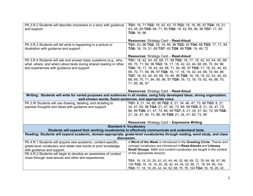| PK.3.R.2 Students will describe characters in a story with guidance<br>and support.                                                                                                                                                                                                        | TG1: 18, 71 TG2: 19, 42, 43, 70 TG3: 18, 19, 95, 97 TG4: 19, 21,<br>43, 45, 69 TG5: 69, 71, 95 TG6: 19, 42, 69, 95, 96 TG7: 17, 45<br>TG9: 16, 96                                                                                                                                                                                                                                                                                                                      |
|--------------------------------------------------------------------------------------------------------------------------------------------------------------------------------------------------------------------------------------------------------------------------------------------|------------------------------------------------------------------------------------------------------------------------------------------------------------------------------------------------------------------------------------------------------------------------------------------------------------------------------------------------------------------------------------------------------------------------------------------------------------------------|
|                                                                                                                                                                                                                                                                                            | <b>Resources: Strategy Card - Read-Aloud</b>                                                                                                                                                                                                                                                                                                                                                                                                                           |
| PK.3.R.3 Students will tell what is happening in a picture or<br>illustration with guidance and support.                                                                                                                                                                                   | TG1: 43, 96 TG2: 18, 19, 95, 96 TG3: 42 TG4: 68 TG5: 17, 71, 94<br>TG6: 16, 19, 21, 69 TG7: 45 TG8: 96 TG9: 19, 46, 72                                                                                                                                                                                                                                                                                                                                                 |
|                                                                                                                                                                                                                                                                                            | Resources: Strategy Card - Read-Aloud                                                                                                                                                                                                                                                                                                                                                                                                                                  |
| PK.3.R.4 Students will ask and answer basic questions (e.g., who,<br>what, where, and when) about texts during shared reading or other<br>text experiences with guidance and support.                                                                                                      | TG1: 18, 42, 44, 45, 68, 71, 96 TG2: 16, 17, 18, 42, 43, 44, 45, 68,<br>69, 70, 71, 94, 96 TG3: 16, 17, 18, 42, 43, 44, 68, 69, 70, 94, 96<br>TG4: 16, 17, 18, 42, 44, 68, 71, 94, 96, 97 TG5: 17, 18, 42, 44, 45,<br>68, 70, 71, 94, 96, 97 TG6: 16, 17, 18, 19, 42, 44, 68, 70, 94, 96<br>TG7: 18, 42, 44, 45, 68, 70, 94, 96 TG8: 16, 18, 19, 42, 43, 44, 45,<br>68, 69, 70, 71, 94, 95, 96, 97 TG9: 16, 13, 18, 19, 42, 45, 68, 70,<br>71, 95, 96, 97              |
|                                                                                                                                                                                                                                                                                            | Resources: Strategy Card - Read-Aloud                                                                                                                                                                                                                                                                                                                                                                                                                                  |
| Writing: Students will write for varied purposes and audiences in all modes, using fully developed ideas, strong organization,<br>well-chosen words, fluent sentences, and appropriate voice.                                                                                              |                                                                                                                                                                                                                                                                                                                                                                                                                                                                        |
| PK.3.W Students will use drawing, labeling, and dictating to<br>express thoughts and ideas with guidance and support.                                                                                                                                                                      | TG1: 8, 21, 34, 60, 86 TG2: 8, 21, 34, 46, 47, 73, 86 TG3: 8, 21,<br>34, 47, 60, 86 TG4: 21, 47, 60, 73, 86, 99 TG5: 8, 21, 34, 47, 73,<br>86, 99 TG6: 21, 47, 73, 86, 99 TG7: 8, 21, 34, 47, 60, 73, 99 TG8:<br>21, 34, 47, 60, 73, 86, 99 TG9: 21, 34, 47, 60, 73, 99<br><b>Resources: Strategy Card - Expressive Writing</b>                                                                                                                                        |
|                                                                                                                                                                                                                                                                                            | <b>Standard 4: Vocabulary</b>                                                                                                                                                                                                                                                                                                                                                                                                                                          |
|                                                                                                                                                                                                                                                                                            | Students will expand their working vocabularies to effectively communicate and understand texts.                                                                                                                                                                                                                                                                                                                                                                       |
| Reading: Students will expand academic, domain-appropriate, grade-level vocabularies through reading, word study, and class<br>discussion.                                                                                                                                                 |                                                                                                                                                                                                                                                                                                                                                                                                                                                                        |
| PK.4.R.1 Students will acquire new academic, content-specific,<br>grade-level vocabulary and relate new words to prior knowledge<br>with guidance and support.<br>PK.4.R.2 Students will begin to develop an awareness of context<br>clues through read-alouds and other text experiences. | A Word of the Week is introduced in the Greeting Circle. Theme and<br>concept vocabulary are introduced in Read-Alouds and Literacy<br>Small Groups. Math and content vocabulary are taught in the context<br>of the appropriate lessons.<br>TG1: 18, 19, 20, 26, 42, 43, 44, 46, 52, 68, 69, 72, 78, 94, 96, 97, 98,<br>104 TG2: 16, 18, 19, 20, 26, 42, 44, 45, 52, 68, 71, 78, 94, 95, 104<br>TG3: 17, 18, 19, 26, 42, 44, 52, 68, 70, 78, 104 TG4: 16, 18, 26, 42, |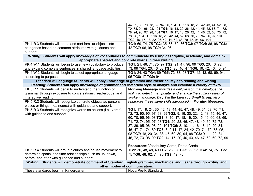|                                                                 | 44, 52, 68, 70, 78, 89, 94, 96, 104 TG5: 16, 18, 26, 42, 43, 44, 52, 68,                                           |
|-----------------------------------------------------------------|--------------------------------------------------------------------------------------------------------------------|
|                                                                 | 70, 78, 94, 96, 98, 104 TG6: 16, 18, 20, 26, 42, 44, 45, 52, 68, 71, 72,                                           |
|                                                                 | 78, 94, 96, 97, 98, 104 TG7: 16, 17, 18, 26, 42, 44, 46, 52, 68, 70, 72,                                           |
|                                                                 | 78, 96, 104 TG8: 16, 18, 26, 42, 44, 52, 68, 70, 78, 94, 96, 97, 104                                               |
|                                                                 | TG9: 16, 17, 18, 22, 26, 42, 44, 52, 68, 70, 78, 94, 96, 104                                                       |
| PK.4.R.3 Students will name and sort familiar objects into      | TG1: 69, 74, 75 TG2: 35, 66, 72, 86 TG3: 97 TG4: 86, 98 TG6:                                                       |
| categories based on common attributes with guidance and         | 42 TG7: 96, 98 TG9: 34, 96                                                                                         |
| support.                                                        |                                                                                                                    |
|                                                                 | Writing: Students will apply knowledge of vocabularies to communicate by using descriptive, academic, and domain-  |
|                                                                 | appropriate abstract and concrete words in their writing.                                                          |
| PK.4.W.1 Students will begin to use new vocabulary to produce   | TG1: 21, 46, 71, 75, 97 TG2: 21, 47, 98, 99 TG3: 20, 46, 72,                                                       |
| and expand complete sentences in shared language activities.    | 73, 99 TG4: 20, 46, 68 TG5: 20, 46, 47 TG6: 19, 42, 43, 45, 94                                                     |
| PK.4.W.2 Students will begin to select appropriate language     | TG1: 24, 43 TG4: 89 TG5: 72, 88, 98 TG7: 42, 43, 68, 69, 94,                                                       |
| according to purpose.                                           | 95 TG8: 17 TG9: 94                                                                                                 |
|                                                                 | Standard 5: Language Students will apply knowledge of grammar and rhetorical style to reading and writing.         |
|                                                                 | Reading: Students will apply knowledge of grammar and rhetorical style to analyze and evaluate a variety of texts. |
| PK.5.R.1 Students will begin to understand the function of      | Morning Message provides a daily lesson that develops the                                                          |
| grammar through exposure to conversations, read-alouds, and     | ability to detect, manipulate, and analyze the auditory parts of                                                   |
| interactive reading.                                            | spoken language. Day 2 in the Literacy Small Group also                                                            |
| PK.5.R.2 Students will recognize concrete objects as persons,   | reinforces these same skills introduced in Morning Message.                                                        |
| places or things (i.e., nouns) with guidance and support.       |                                                                                                                    |
| PK.5.R.3 Students will recognize words as actions (i.e., verbs) | <b>TG1:</b> 17, 19, 24, 35, 42, 43, 44, 45, 47, 48, 49, 61, 69, 70, 71,                                            |
| with guidance and support.                                      | 72, 73, 90, 95, 97, 98, 99 TG2: 9, 19, 20, 22, 42, 43, 45, 46, 47,                                                 |
|                                                                 | 60, 70, 95, 96, 98 TG3: 8, 10, 17, 18, 19, 20, 45, 46, 60, 68, 69,                                                 |
|                                                                 | 71, 72, 74, 95, 97, 98 TG4: 20, 23, 46, 47, 48, 49, 60, 72, 73,                                                    |
|                                                                 |                                                                                                                    |
|                                                                 | 87, 89, 95, 96, 98, 99, 101 TG5: 8, 10, 11, 16, 18, 19, 20, 34,                                                    |
|                                                                 | 46, 47, 71, 74, 89 TG6: 8, 9,11, 17, 24, 42, 70, 71, 72, 73, 95,                                                   |
|                                                                 | 98 TG7: 18, 20, 34, 38, 45, 60, 89, 94, 98 TG8: 9, 11, 20, 34,                                                     |
|                                                                 | 46, 72, 73, 98, 99 TG9: 14, 17, 20, 40, 43, 46, 47, 60, 69, 72, 99                                                 |
|                                                                 | Resources: Vocabulary Cards, Photo Cards                                                                           |
| PK.5.R.4 Students will group pictures and/or use movement to    | TG1: 36, 48, 48, 49 TG2: 23, 37 TG3: 22, 23 TG4: 74, 75 TG5:                                                       |
| determine spatial and time relationships such as up, down,      | 75 TG6: 48, 62, 74, 75 TG9: 49, 75                                                                                 |
| before, and after with guidance and support.                    |                                                                                                                    |
|                                                                 | Writing: Students will demonstrate command of Standard English grammar, mechanics, and usage through writing and   |
|                                                                 | other modes of communication.                                                                                      |
| These standards begin in Kindergarten.                          | Not a Pre-K Standard.                                                                                              |
|                                                                 |                                                                                                                    |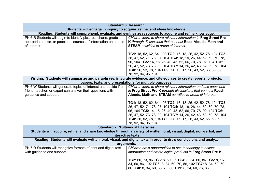|                                                                                                                                                                               | <b>Standard 6: Research</b>                                                                                                                                                                                                                                                                                                                                     |
|-------------------------------------------------------------------------------------------------------------------------------------------------------------------------------|-----------------------------------------------------------------------------------------------------------------------------------------------------------------------------------------------------------------------------------------------------------------------------------------------------------------------------------------------------------------|
|                                                                                                                                                                               | Students will engage in inquiry to acquire, refine, and share knowledge.                                                                                                                                                                                                                                                                                        |
|                                                                                                                                                                               | Reading: Students will comprehend, evaluate, and synthesize resources to acquire and refine knowledge.                                                                                                                                                                                                                                                          |
| PK.6.R Students will begin to identify pictures, charts, grade-<br>appropriate texts, or people as sources of information on a topic<br>of interest.                          | Children learn to share relevant information in Frog Street Pre-<br>K through discussions that connect Read-Alouds, Math and<br><b>STEAM</b> activities to areas of interest.                                                                                                                                                                                   |
|                                                                                                                                                                               | TG1: 18, 52, 62, 64, 103 TG2: 16, 18, 26, 42, 52, 78, 104 TG3:<br>26, 47, 52, 71, 78, 97, 104 TG4: 18, 19, 26, 44, 52, 60, 70, 78,<br>96, 104 TG5: 14, 16, 26, 40, 45, 52, 66, 70, 78, 92, 104 TG6:<br>26, 47, 52, 73, 78, 99, 104 TG7: 14, 26, 42, 43, 52, 69, 78, 104<br>TG8: 26, 52, 78, 104 TG9: 14, 16, 17, 26, 43, 52, 66, 68, 69,<br>78, 92, 94, 95, 104 |
| Writing: Students will summarize and paraphrase, integrate evidence, and cite sources to create reports, projects,<br>papers, texts, and presentations for multiple purposes. |                                                                                                                                                                                                                                                                                                                                                                 |
| PK.6.W Students will generate topics of interest and decide if a                                                                                                              | Children learn to share relevant information and ask questions                                                                                                                                                                                                                                                                                                  |
| friend, teacher, or expert can answer their questions with                                                                                                                    | in Frog Street Pre-K through discussions that connect Read-                                                                                                                                                                                                                                                                                                     |
| guidance and support.                                                                                                                                                         | Alouds, Math and STEAM activities to areas of interest.                                                                                                                                                                                                                                                                                                         |
|                                                                                                                                                                               | TG1: 18, 52, 62, 64, 103 TG2: 16, 18, 26, 42, 52, 78, 104 TG3:<br>26, 47, 52, 71, 78, 97, 104 TG4: 18, 19, 26, 44, 52, 60, 70, 78,<br>96, 104 TG5: 14, 16, 26, 40, 45, 52, 66, 70, 78, 92, 104 TG6:<br>26, 47, 52, 73, 78, 99, 104 TG7: 14, 26, 42, 43, 52, 69, 78, 104<br>TG8: 26, 52, 78, 104 TG9: 14, 16, 17, 26, 43, 52, 66, 68, 69,<br>78, 92, 94, 95, 104 |
|                                                                                                                                                                               | <b>Standard 7: Multimodal Literacies</b>                                                                                                                                                                                                                                                                                                                        |
| Students will acquire, refine, and share knowledge through a variety of written, oral, visual, digital, non-verbal, and<br>interactive texts.                                 |                                                                                                                                                                                                                                                                                                                                                                 |
|                                                                                                                                                                               | Reading: Students will evaluate written, oral, visual, and digital texts in order to draw conclusions and analyze                                                                                                                                                                                                                                               |
|                                                                                                                                                                               | arguments.                                                                                                                                                                                                                                                                                                                                                      |
| PK.7.R Students will recognize formats of print and digital text                                                                                                              | Children have opportunities to use technology to access                                                                                                                                                                                                                                                                                                         |
| with guidance and support.                                                                                                                                                    | information and create digital products in Frog Street Pre-K.                                                                                                                                                                                                                                                                                                   |
|                                                                                                                                                                               | TG2: 60, 73, 86 TG3: 8, 60, 86 TG4: 8, 34, 60, 86 TG5: 8, 16,<br>34, 60, 86, 102 TG6: 8, 34, 60, 70, 86, 102 TG7: 8, 34, 50, 60,<br>86 TG8: 8, 34, 60, 68, 76, 86 TG9: 8, 34, 60, 76, 86                                                                                                                                                                        |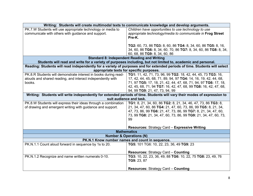|                                                                                                                            | Writing: Students will create multimodal texts to communicate knowledge and develop arguments.                                                      |
|----------------------------------------------------------------------------------------------------------------------------|-----------------------------------------------------------------------------------------------------------------------------------------------------|
| PK.7.W Students will use appropriate technology or media to                                                                | Children have opportunities to use technology to use                                                                                                |
| communicate with others with guidance and support.                                                                         | appropriate technology/media to communicate in Frog Street                                                                                          |
|                                                                                                                            | Pre-K.                                                                                                                                              |
|                                                                                                                            |                                                                                                                                                     |
|                                                                                                                            | TG2: 60, 73, 86 TG3: 8, 60, 86 TG4: 8, 34, 60, 86 TG5: 8, 16,                                                                                       |
|                                                                                                                            | 34, 60, 86 TG6: 8, 34, 60, 70, 86 TG7: 8, 34, 60, 86 TG8: 8, 34,                                                                                    |
|                                                                                                                            | 60, 68, 86 TG9: 8, 34, 60, 86                                                                                                                       |
|                                                                                                                            | <b>Standard 8: Independent Reading and Writing</b>                                                                                                  |
|                                                                                                                            | Students will read and write for a variety of purposes including, but not limited to, academic and personal.                                        |
| Reading: Students will read independently for a variety of purposes and for extended periods of time. Students will select |                                                                                                                                                     |
|                                                                                                                            | appropriate texts for specific purposes.                                                                                                            |
| PK.8.R Students will demonstrate interest in books during read-                                                            | TG1: 11, 42, 71, 73, 96, 99 TG2: 18, 42, 44, 45, 73 TG3: 16,                                                                                        |
| alouds and shared reading, and interact independently with                                                                 | 17, 42, 44, 45, 68, 71, 89, 94, 97 TG4: 14, 16, 19, 42, 44, 68,                                                                                     |
| books.                                                                                                                     | 71, 97 TG5: 17, 18, 21, 42, 44, 47, 68, 71, 94, 97 TG6: 17, 18,                                                                                     |
|                                                                                                                            | 42, 45, 68, 71, 94 TG7: 16, 42, 47, 68, 99 TG8: 16, 42, 47, 68,                                                                                     |
|                                                                                                                            | 94, 99 TG9: 21, 47, 73, 94, 99                                                                                                                      |
|                                                                                                                            | Writing: Students will write independently for extended periods of time. Students will vary their modes of expression to<br>suit audience and task. |
| PK.8.W Students will express their ideas through a combination                                                             | TG1: 8, 21, 34, 60, 86 TG2: 8, 21, 34, 46, 47, 73, 86 TG3: 8,                                                                                       |
| of drawing and emergent writing with guidance and support.                                                                 | 21, 34, 47, 60, 86 TG4: 21, 47, 60, 73, 86, 99 TG5: 8, 21, 34,                                                                                      |
|                                                                                                                            | 47, 73, 86, 99 TG6: 21, 47, 73, 86, 99 TG7: 8, 21, 34, 47, 60,                                                                                      |
|                                                                                                                            | 73, 99 TG8: 21, 34, 47, 60, 73, 86, 99 TG9: 21, 34, 47, 60, 73,                                                                                     |
|                                                                                                                            | 99                                                                                                                                                  |
|                                                                                                                            |                                                                                                                                                     |
|                                                                                                                            | Resources: Strategy Card - Expressive Writing                                                                                                       |
|                                                                                                                            | <b>Mathematics</b>                                                                                                                                  |
|                                                                                                                            | <b>Number &amp; Operations (N)</b>                                                                                                                  |
|                                                                                                                            | PK.N.1 Know number names and count in sequence.                                                                                                     |
| PK.N.1.1 Count aloud forward in sequence by 1s to 20.                                                                      | TG5: 101 TG6: 10, 22, 23, 36, 49 TG9: 23                                                                                                            |
|                                                                                                                            |                                                                                                                                                     |
|                                                                                                                            | <b>Resources: Strategy Card - Counting</b>                                                                                                          |
| PK.N.1.2 Recognize and name written numerals 0-10.                                                                         | TG3: 10, 22, 23, 36, 49, 88 TG6: 10, 22, 75 TG8: 23, 49, 76                                                                                         |
|                                                                                                                            | TG9: 23, 87                                                                                                                                         |
|                                                                                                                            |                                                                                                                                                     |
|                                                                                                                            | <b>Resources: Strategy Card - Counting</b>                                                                                                          |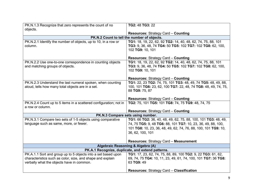| PK.N.1.3 Recognize that zero represents the count of no                                                                     | TG2: 48 TG3: 22                                                                                                               |
|-----------------------------------------------------------------------------------------------------------------------------|-------------------------------------------------------------------------------------------------------------------------------|
| objects.                                                                                                                    |                                                                                                                               |
|                                                                                                                             | <b>Resources: Strategy Card - Counting</b>                                                                                    |
|                                                                                                                             | PK.N.2 Count to tell the number of objects.                                                                                   |
| PK.N.2.1 Identify the number of objects, up to 10, in a row or                                                              | TG1: 18, 19, 22, 62, 92 TG2: 14, 40, 48, 62, 74, 75, 88, 101                                                                  |
| column.                                                                                                                     | TG3: 9, 36, 48, 74 TG4: 50 TG5: 102 TG7: 102 TG8: 62, 100,                                                                    |
|                                                                                                                             | 102 TG9: 10, 101                                                                                                              |
|                                                                                                                             | <b>Resources: Strategy Card - Counting</b>                                                                                    |
| PK.N.2.2 Use one-to-one correspondence in counting objects                                                                  | TG1: 18, 19, 22, 62, 92 TG2: 14, 40, 48, 62, 74, 75, 88, 101                                                                  |
| and matching groups of objects.                                                                                             | TG3: 9, 36, 48, 74 TG4: 50 TG5: 102 TG7: 102 TG8: 62, 100,                                                                    |
|                                                                                                                             | 102 TG9: 10, 101                                                                                                              |
|                                                                                                                             |                                                                                                                               |
|                                                                                                                             | <b>Resources: Strategy Card - Counting</b>                                                                                    |
| PK.N.2.3 Understand the last numeral spoken, when counting                                                                  | TG1: 22, 23 TG2: 74, 75, 101 TG3: 48, 49, 74 TG5: 48, 49, 88,                                                                 |
| aloud, tells how many total objects are in a set.                                                                           | 100, 101 TG6: 23, 62, 100 TG7: 22, 48, 74 TG8: 48, 49, 74, 75,                                                                |
|                                                                                                                             | 88 TG9: 75, 87                                                                                                                |
|                                                                                                                             |                                                                                                                               |
|                                                                                                                             | <b>Resources: Strategy Card - Counting</b>                                                                                    |
| PK.N.2.4 Count up to 5 items in a scattered configuration; not in<br>a row or column.                                       | TG2: 75, 101 TG5: 101 TG8: 74, 75 TG9: 48, 74, 75                                                                             |
|                                                                                                                             | <b>Resources: Strategy Card - Counting</b>                                                                                    |
|                                                                                                                             | PK.N.3 Compare sets using number.                                                                                             |
| PK.N.3.1 Compare two sets of 1-5 objects using comparative                                                                  | TG1: 66 TG2: 36, 40, 48, 49, 62, 75, 88, 100, 101 TG3: 48, 49,                                                                |
| language such as same, more, or fewer.                                                                                      | 74, 75 TG5: 9, 48 TG6: 88, 101 TG7: 10, 23, 36, 49, 88, 100,                                                                  |
|                                                                                                                             | 101 TG8: 10, 23, 36, 48, 49, 62, 74, 76, 88, 100, 101 TG9: 10,                                                                |
|                                                                                                                             | 36, 62, 100, 101                                                                                                              |
|                                                                                                                             |                                                                                                                               |
|                                                                                                                             | <b>Resources: Strategy Card - Measurement</b>                                                                                 |
|                                                                                                                             |                                                                                                                               |
| Algebraic Reasoning & Algebra (A)<br>PK.A.1 Recognize, duplicate, and extend patterns.                                      |                                                                                                                               |
|                                                                                                                             |                                                                                                                               |
| PK.A.1.1 Sort and group up to 5 objects into a set based upon<br>characteristics such as color, size, and shape and explain | TG1: 17, 23, 62, 74, 75, 88, 89, 100 TG2: 9, 22 TG3: 61, 62,<br>69, 74, 75 TG4: 10, 11, 23, 49, 61, 74, 100, 101 TG7: 36 TG8: |
| verbally what the objects have in common.                                                                                   | 63 TG9: 49                                                                                                                    |
|                                                                                                                             |                                                                                                                               |
|                                                                                                                             | <b>Resources: Strategy Card - Classification</b>                                                                              |
|                                                                                                                             |                                                                                                                               |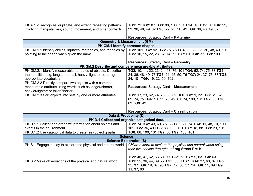| PK.A.1.2 Recognize, duplicate, and extend repeating patterns       | TG1: 72 TG2: 87 TG3: 88, 100, 101 TG4: 10 TG5: 50 TG6: 22,      |
|--------------------------------------------------------------------|-----------------------------------------------------------------|
| involving manipulatives, sound, movement, and other contexts.      | 23, 36, 48, 49, 62 TG8: 22, 23, 36, 49 TG9: 36, 48, 49, 62      |
|                                                                    |                                                                 |
|                                                                    | <b>Resources: Strategy Card - Patterning</b>                    |
|                                                                    | <b>Geometry &amp; Measurement (GM)</b>                          |
|                                                                    | PK.GM.1 Identify common shapes.                                 |
| PK.GM.1.1 Identify circles, squares, rectangles, and triangles by  | TG1: 101 TG2: 92 TG3: 75, 76 TG4: 10, 22, 23, 36, 48, 49, 101   |
| pointing to the shape when given the name.                         | TG5: 10, 15, 22, 23, 62, 74, 75 TG7: 61 TG8: 37 TG9: 100        |
|                                                                    |                                                                 |
|                                                                    | <b>Resources: Strategy Card - Geometry</b>                      |
|                                                                    | PK.GM.2 Describe and compare measureable attributes.            |
| PK.GM.2.1 Identify measurable attributes of objects. Describe      | TG2: 10, 11, 22, 23, 24, 48, 76, 101 TG4: 62, 74, 75, 88 TG5:   |
| them as little, big, long, short, tall, heavy, light, or other age | 24, 36, 48, 49, 76 TG6: 24, 45, 50, 76 TG7: 24, 37, 76, 87 TG8: |
| appropriate vocabulary.                                            | 24, 101 TG9: 19, 22, 50, 102                                    |
| PK.GM.2.2 Directly compare two objects with a common               |                                                                 |
| measurable attribute using words such as longer/shorter;           | Resources: Strategy Card - Measurement                          |
| heavier/lighter; or taller/shorter.                                |                                                                 |
| PK.GM.2.3 Sort objects into sets by one or more attributes.        | TG1: 17, 23, 62, 74, 75, 88, 89, 100 TG2: 9, 22 TG3: 61, 62,    |
|                                                                    | 69, 74, 75 TG4: 10, 11, 23, 49, 61, 74, 100, 101 TG7: 36 TG8:   |
|                                                                    | 63 TG9: 49                                                      |
|                                                                    |                                                                 |
|                                                                    | <b>Resources: Strategy Card - Classification</b>                |
|                                                                    | Data & Probability (D)                                          |
|                                                                    | PK.D.1 Collect and organize categorical data.                   |
| PK.D.1.1 Collect and organize information about objects and        | TG1: 74 TG2: 43, 69, 75, 88 TG3: 21, 74 TG4: 11, 48, 70, 100,   |
| events in the environment.                                         | 101 TG5: 36, 49 TG6: 88, 100, 101 TG7: 18, 88 TG9: 23, 101      |
| PK.D.1.2 Use categorical data to create real-object graphs.        | TG6: 88, 100, 101 TG7: 88 TG9: 100, 101                         |
|                                                                    | <b>Science</b>                                                  |
|                                                                    | <b>Science Exploration (S)</b>                                  |
| PK.S.1 Engage in play to explore the physical and natural world.   | Children learn to explore the physical and natural world using  |
|                                                                    | their five senses throughout Frog Street Pre-K.                 |
|                                                                    |                                                                 |
|                                                                    | TG1: 45, 47, 62, 63, 74, 77 TG3: 63 TG7: 9, 63 TG8: 63          |
| PK.S.2 Make observations of the physical and natural world.        | TG1: 25, 36, 44, 69, 77 TG3: 36, 71, 89 TG4: 37, 63, 87 TG5:    |
|                                                                    | 35, 37 TG6: 19, 37, 95 TG7: 17, 36, 37, 94 TG8: 11, 89 TG9:     |
|                                                                    | 11, 37, 63                                                      |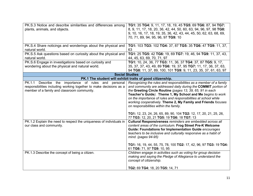| PK.S.3 Notice and describe similarities and differences among<br>plants, animals, and objects.                       | TG1: 35 TG4: 9, 11, 17, 18, 19, 45 TG5: 69 TG6: 87, 94 TG7:<br>8, 9, 11, 17, 18, 20, 36, 42, 44, 50, 60, 63, 94, 96, 97, 98 TG8:<br>9, 10, 16, 17, 18, 19, 35, 36, 42, 43, 44, 45, 50, 62, 63, 68, 69,<br>70, 71, 89, 94, 95, 96, 97 TG9: 10                                                                                                                                                                                                                                               |
|----------------------------------------------------------------------------------------------------------------------|--------------------------------------------------------------------------------------------------------------------------------------------------------------------------------------------------------------------------------------------------------------------------------------------------------------------------------------------------------------------------------------------------------------------------------------------------------------------------------------------|
| PK.S.4 Share noticings and wonderings about the physical and<br>natural world.                                       | TG1: 103 TG3: 102 TG4: 37, 87 TG5: 35 TG6: 47 TG9: 11, 37,<br>63                                                                                                                                                                                                                                                                                                                                                                                                                           |
| PK.S.5 Ask questions based on curiosity about the physical and<br>natural world.                                     | TG1: 25 TG5: 42 TG6: 19, 69 TG7: 19, 46, 94 TG9: 11, 37, 43,<br>44, 45, 63, 69, 70, 71, 97                                                                                                                                                                                                                                                                                                                                                                                                 |
| PK.S.6 Engage in investigations based on curiosity and<br>wondering about the physical and natural world.            | TG1: 10, 24, 36, 77 TG3: 11, 36, 37 TG4: 37, 87 TG5: 9, 17,<br>35, 37, 37, 43, 49, 89 TG6: 19, 37, 95 TG7: 11, 17, 36, 37, 63,<br>94 TG8: 11, 37, 89, 100, 101 TG9: 9, 11, 23, 35, 37, 61, 63, 97                                                                                                                                                                                                                                                                                          |
| <b>Social Studies</b>                                                                                                |                                                                                                                                                                                                                                                                                                                                                                                                                                                                                            |
| PK.1 The student will exhibit traits of good citizenship.<br>Describe the importance of rules and personal<br>PK.1.1 | Recognizing the rules and responsibilities as a member of a family                                                                                                                                                                                                                                                                                                                                                                                                                         |
| responsibilities including working together to make decisions as a<br>member of a family and classroom community.    | and community are addressed daily during the COMMIT portion of<br>the Greeting Circle Routine (pages 13, 39, 65, 91 in each<br>Teacher's Guide). Theme 1, My School and Me begins to work<br>on the importance of rules and responsibilities at school while<br>working cooperatively. Theme 2, My Family and Friends focuses<br>on responsibilities within the family.<br>TG1: 12, 23, 24, 26, 65, 89, 90, 104 TG2: 12, 17, 20, 21, 25, 26,<br>77 TG3: 12, 20, 21 TG5: 19 TG6: 18 TG7: 13 |
| PK.1.2 Explain the need to respect the uniqueness of individuals in<br>our class and community.                      | Cultural Responsiveness reminders are embedded across all<br>content areas of the curriculum. Frog Street Pre-K Welcome<br><b>Guide: Foundations for Implementation Guide encourages</b><br>teachers to be inclusive and culturally responsive as a habit of<br>mind. (pages 94-95)<br>TG1: 16, 19, 44, 55, 75, 78, 100 TG2: 17, 42, 96, 97 TG3: 19 TG4:<br>61 TG6: 71, 97 TG9: 10, 95                                                                                                     |
| PK.1.3 Describe the concept of being a citizen.                                                                      | Children engage in activities such as voting for group decision<br>making and saying the Pledge of Allegiance to understand the<br>concept of citizenship.<br>TG2: 69 TG4: 18, 20 TG5: 14, 71                                                                                                                                                                                                                                                                                              |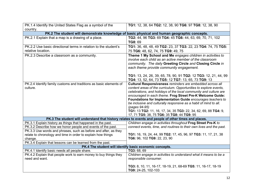| PK.1.4 Identify the United States Flag as a symbol of the          | TG1: 12, 38, 64 TG2: 12, 38, 90 TG6: 97 TG8: 12, 38, 90                                               |
|--------------------------------------------------------------------|-------------------------------------------------------------------------------------------------------|
| country.                                                           |                                                                                                       |
|                                                                    | PK.2 The student will demonstrate knowledge of basic physical and human geographic concepts.          |
| PK.2.1 Explain that a map is a drawing of a place.                 | TG2: 44, 96 TG3: 69 TG4: 45 TG6: 44, 63, 69, 70, 71, 102                                              |
|                                                                    | TG8: 69                                                                                               |
| PK.2.2 Use basic directional terms in relation to the student's    | TG1: 36, 48, 48, 49 TG2: 23, 37 TG3: 22, 23 TG4: 74, 75 TG5:                                          |
| relative location.                                                 | 75 TG6: 48, 62, 74, 75 TG9: 49, 75                                                                    |
| PK.2.3 Describe a classroom as a community.                        | Theme 1 My School and Me engages children in activities to                                            |
|                                                                    | involve each child as an active member of the classroom                                               |
|                                                                    | community. The daily Greeting Circle and Closing Circle in                                            |
|                                                                    | each theme provide community engagement.                                                              |
|                                                                    |                                                                                                       |
|                                                                    | TG1: 13, 24, 26, 39, 65, 78, 90, 91 TG2: 12 TG3: 12, 21, 44, 99                                       |
|                                                                    | TG4: 13, 52, 64, 73 TG5: 12 TG7: 13, 65, 73 TG9: 13                                                   |
| PK.2.4 Identify family customs and traditions as basic elements of | Cultural Responsiveness reminders are embedded across all                                             |
| culture.                                                           | content areas of the curriculum. Opportunities to explore events,                                     |
|                                                                    | celebrations, and holidays of the local community and culture are                                     |
|                                                                    | encouraged in each theme. Frog Street Pre-K Welcome Guide:                                            |
|                                                                    | Foundations for Implementation Guide encourages teachers to                                           |
|                                                                    | be inclusive and culturally responsive as a habit of mind to all.                                     |
|                                                                    | (pages 94-95)                                                                                         |
|                                                                    | TG1: 13 TG2: 11, 16, 17, 34, 35 TG3: 22, 34, 62, 69, 88 TG4: 9,                                       |
|                                                                    | 17, 71 TG5: 38, 75 TG6: 35 TG8: 44 TG9: 95                                                            |
|                                                                    | PK.3 The student will understand that history relates to events and people of other times and places. |
| PK.3.1 Explain history as things that happened in the past.        | Children engage in activities throughout Frog Street Pre-K to                                         |
| PK.3.2 Describe how we honor people and events of the past.        | connect events, time, and routines to their own lives and the past.                                   |
| PK.3.3 Use words and phrases, such as before and after, as they    |                                                                                                       |
| relate to chronology and time in order to explain how things       | TG1: 16, 19, 24, 44, 99 TG2: 17, 45, 96, 97 TG3: 11, 17, 21, 38                                       |
| change.                                                            | TG6: 96, 102 TG9: 22, 23, 90                                                                          |
| PK.3.4 Explain that lessons can be learned from the past.          |                                                                                                       |
|                                                                    | PK.4 The student will identify basic economic concepts.                                               |
| PK.4.1 Identify basic needs all people share.                      | TG3: 68, 69                                                                                           |
| PK.4.2 Explain that people work to earn money to buy things they   | Children engage in activities to understand what it means to be a                                     |
| need and want.                                                     | responsible consumer.                                                                                 |
|                                                                    |                                                                                                       |
|                                                                    | TG3: 8, 10, 11, 16-17, 18-19, 21, 68-69 TG5: 11, 16-17, 18-19                                         |
|                                                                    | TG9: 24-25, 102-103                                                                                   |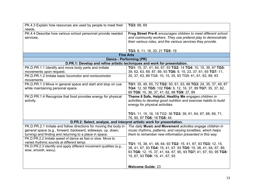| PK.4.3 Explain how resources are used by people to meet their<br>needs.                                                                                                               | TG3: 68, 69                                                                                                                                                                                  |  |
|---------------------------------------------------------------------------------------------------------------------------------------------------------------------------------------|----------------------------------------------------------------------------------------------------------------------------------------------------------------------------------------------|--|
| PK.4.4 Describe how various school personnel provide needed<br>services.                                                                                                              | Frog Street Pre-K encourages children to meet different school<br>and community workers. They use pretend play to demonstrate<br>their various roles, and the various services they provide. |  |
|                                                                                                                                                                                       | TG3: 8, 11, 16, 20, 21 TG5: 19                                                                                                                                                               |  |
|                                                                                                                                                                                       | <b>Fine Arts</b>                                                                                                                                                                             |  |
| Dance - Performing (PR)                                                                                                                                                               |                                                                                                                                                                                              |  |
|                                                                                                                                                                                       | D.PR.1: Develop and refine artistic techniques and work for presentation.                                                                                                                    |  |
| PK.D.PR.1.1 Identify and move body parts and imitate                                                                                                                                  | TG1: 15, 37, 41, 64, 67, 93 TG2: 14 TG4: 10, 15, 39, 67 TG5:                                                                                                                                 |  |
| movements upon request.                                                                                                                                                               | 39, 62, 63, 69, 87, 89, 93 TG6: 9, 15, 23, 37, 61, 65 TG7: 11,                                                                                                                               |  |
| PK.D.PR.1.2 Imitate basic locomotor and nonlocomotor<br>movements                                                                                                                     | 35, 37, 63, 89 TG8: 10, 15, 35, 93 TG9: 41, 61, 62, 89, 93                                                                                                                                   |  |
| PK.D.PR.1.3 Move in general space and start and stop on cue<br>while maintaining personal space.                                                                                      | TG1: 35, 49, 65, 72 TG2: 50, 61, 63, 88 TG3: 24, 35, 37, 49, 87<br>TG4: 12, 50 TG5: 102 TG6: 9, 12, 16, 37, 89 TG7: 35, 37, 62,<br>89 TG8: 10, 36, 37, 41, 62, 88 TG9: 37, 89                |  |
| PK.D.PR.1.4 Recognize that food provides energy for physical<br>activity.                                                                                                             | Theme 6 Safe, Helpful, Healthy Me engages children in<br>activities to develop good nutrition and exercise habits to build<br>energy for physical activities.                                |  |
|                                                                                                                                                                                       | TG1: 11, 15, 16, 18 TG2: 36 TG3: 39, 61, 64, 67, 68, 69, 71,                                                                                                                                 |  |
|                                                                                                                                                                                       | 76, 90, 97 TG6: 18 TG8: 44<br>D.PR.2: Select, analyze, and interpret artistic work for presentation.                                                                                         |  |
| PK.D.PR.2.1 Imitate and follow directions for moving the body in                                                                                                                      | The daily Music and Movement activities engage children in                                                                                                                                   |  |
| general space (e.g., forward, backward, sideways, up, down,<br>turning) and finding and returning to a place in space.<br>PK.D.PR.2.2 Imitate speed of dance as fast or slow. Move to | music rhythms, patterns, and varying tonalities, which helps<br>them to remember new information presented in this way.                                                                      |  |
| varied rhythmic sounds at different tempi.                                                                                                                                            | TG1: 15, 38, 41, 48, 64, 93 TG2: 15, 41, 67, 93 TG3: 12, 15,                                                                                                                                 |  |
| PK.D.PR.2.3 Identify and apply different movement qualities (e.g.,<br>slow, smooth, wavy).                                                                                            | 38, 41, 67, 93 TG4: 15, 41, 67, 93 TG5: 15, 38, 41, 64, 67, 89,<br>93 TG6: 12, 15, 37, 41, 64, 67, 90, 93 TG7: 41, 67, 93, 95 TG8:<br>15, 67, 93 TG9: 15, 41, 67, 93                         |  |
|                                                                                                                                                                                       | <b>Welcome Guide: 23</b>                                                                                                                                                                     |  |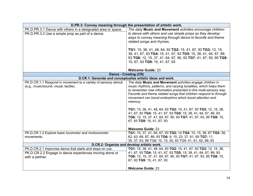|                                                                 | D.PR.3: Convey meaning through the presentation of artistic work. |
|-----------------------------------------------------------------|-------------------------------------------------------------------|
| PK.D.PR.3.1 Dance with others in a designated area or space.    | The daily Music and Movement activities encourage children        |
| PK.D.PR.3.2 Use a simple prop as part of a dance.               | to dance with others and use simple props as they develop         |
|                                                                 | ways to convey meaning through dance to favorite and theme        |
|                                                                 | related songs and rhymes.                                         |
|                                                                 |                                                                   |
|                                                                 | TG1: 15, 38, 41, 48, 64, 93 TG2: 15, 41, 67, 93 TG3: 12, 15,      |
|                                                                 | 38, 41, 67, 93 TG4: 15, 41, 67, 93 TG5: 15, 38, 41, 64, 67, 89,   |
|                                                                 | 93 TG6: 12, 15, 37, 41, 64, 67, 90, 93 TG7: 41, 67, 93, 95 TG8:   |
|                                                                 | 15, 67, 93 TG9: 15, 41, 67, 93                                    |
|                                                                 |                                                                   |
|                                                                 | <b>Welcome Guide: 23</b>                                          |
|                                                                 | Dance - Creating (CR)                                             |
|                                                                 | D.CR.1: Generate and conceptualize artistic ideas and work.       |
| PK.D.CR.1.1 Respond in movement to a variety of sensory stimuli | The daily Music and Movement activities engage children in        |
| (e.g., music/sound, visual, tactile).                           | music rhythms, patterns, and varying tonalities, which helps them |
|                                                                 | to remember new information presented in this multi-sensory way.  |
|                                                                 | Favorite and theme related songs that children respond to through |
|                                                                 | movement can boost endorphins which boost attention and           |
|                                                                 | memory.                                                           |
|                                                                 |                                                                   |
|                                                                 | TG1: 15, 38, 41, 48, 64, 93 TG2: 15, 41, 67, 93 TG3: 12, 15, 38,  |
|                                                                 | 41, 67, 93 TG4: 15, 41, 67, 93 TG5: 15, 38, 41, 64, 67, 89, 93    |
|                                                                 | TG6: 12, 15, 37, 41, 64, 67, 90, 93 TG7: 41, 67, 93, 95 TG8: 15,  |
|                                                                 | 67, 93 TG9: 15, 41, 67, 93                                        |
|                                                                 | <b>Welcome Guide: 23</b>                                          |
| PK.D.CR.1.2 Explore basic locomotor and nonlocomotor            | TG1: 15, 37, 41, 64, 67, 93 TG2: 14 TG4: 10, 15, 39, 67 TG5: 39,  |
| movements.                                                      | 62, 63, 69, 87, 89, 93 TG6: 9, 15, 23, 37, 61, 65 TG7: 11,        |
|                                                                 | 35, 37, 63, 89 TG8: 10, 15, 35, 93 TG9: 41, 61, 62, 89, 93        |
|                                                                 | D.CR.2: Organize and develop artistic work.                       |
| PK.D.CR.2.1 Improvise dance that starts and stops on cue.       | TG1: 15, 38, 41, 48, 64, 93 TG2: 15, 41, 67, 93 TG3: 12, 15, 38,  |
| PK.D.CR.2.2 Engage in dance experiences moving alone or         | 41, 67, 93 TG4: 15, 41, 67, 93 TG5: 15, 38, 41, 64, 67, 89, 93    |
| with a partner.                                                 | TG6: 12, 15, 37, 41, 64, 67, 90, 93 TG7: 41, 67, 93, 95 TG8: 15,  |
|                                                                 | 67, 93 TG9: 15, 41, 67, 93                                        |
|                                                                 |                                                                   |
|                                                                 | <b>Welcome Guide: 23</b>                                          |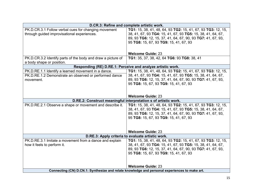|                                                              | D.CR.3: Refine and complete artistic work.                                                    |
|--------------------------------------------------------------|-----------------------------------------------------------------------------------------------|
| PK.D.CR.3.1 Follow verbal cues for changing movement         | TG1: 15, 38, 41, 48, 64, 93 TG2: 15, 41, 67, 93 TG3: 12, 15,                                  |
| through guided improvisational experiences.                  | 38, 41, 67, 93 TG4: 15, 41, 67, 93 TG5: 15, 38, 41, 64, 67,                                   |
|                                                              | 89, 93 TG6: 12, 15, 37, 41, 64, 67, 90, 93 TG7: 41, 67, 93,                                   |
|                                                              | 95 TG8: 15, 67, 93 TG9: 15, 41, 67, 93                                                        |
|                                                              |                                                                                               |
|                                                              | <b>Welcome Guide: 23</b>                                                                      |
| PK.D.CR.3.2 Identify parts of the body and draw a picture of | TG1: 35, 37, 38, 42, 64 TG6: 93 TG8: 38, 41                                                   |
| a body shape or position.                                    |                                                                                               |
|                                                              | Responding (RE) D.RE.1: Perceive and analyze artistic work.                                   |
| PK.D.RE.1.1 Identify a learned movement in a dance.          | TG1: 15, 38, 41, 48, 64, 93 TG2: 15, 41, 67, 93 TG3: 12, 15,                                  |
| PK.D.RE.1.2 Demonstrate an observed or performed dance       | 38, 41, 67, 93 TG4: 15, 41, 67, 93 TG5: 15, 38, 41, 64, 67,                                   |
| movement.                                                    | 89, 93 TG6: 12, 15, 37, 41, 64, 67, 90, 93 TG7: 41, 67, 93,                                   |
|                                                              | 95 TG8: 15, 67, 93 TG9: 15, 41, 67, 93                                                        |
|                                                              |                                                                                               |
|                                                              | <b>Welcome Guide: 23</b>                                                                      |
|                                                              | D.RE.2: Construct meaningful interpretation s of artistic work.                               |
| PK.D.RE.2.1 Observe a shape or movement and describe it.     | TG1: 15, 38, 41, 48, 64, 93 TG2: 15, 41, 67, 93 TG3: 12, 15,                                  |
|                                                              | 38, 41, 67, 93 TG4: 15, 41, 67, 93 TG5: 15, 38, 41, 64, 67,                                   |
|                                                              | 89, 93 TG6: 12, 15, 37, 41, 64, 67, 90, 93 TG7: 41, 67, 93,                                   |
|                                                              | 95 TG8: 15, 67, 93 TG9: 15, 41, 67, 93                                                        |
|                                                              |                                                                                               |
|                                                              |                                                                                               |
|                                                              | <b>Welcome Guide: 23</b>                                                                      |
| D.RE.3: Apply criteria to evaluate artistic work.            |                                                                                               |
| PK.D.RE.3.1 Imitate a movement from a dance and explain      | TG1: 15, 38, 41, 48, 64, 93 TG2: 15, 41, 67, 93 TG3: 12, 15,                                  |
| how it feels to perform it.                                  | 38, 41, 67, 93 TG4: 15, 41, 67, 93 TG5: 15, 38, 41, 64, 67,                                   |
|                                                              | 89, 93 TG6: 12, 15, 37, 41, 64, 67, 90, 93 TG7: 41, 67, 93,                                   |
|                                                              | 95 TG8: 15, 67, 93 TG9: 15, 41, 67, 93                                                        |
|                                                              |                                                                                               |
|                                                              | <b>Welcome Guide: 23</b>                                                                      |
|                                                              | Connecting (CN) D.CN.1: Synthesize and relate knowledge and personal experiences to make art. |
|                                                              |                                                                                               |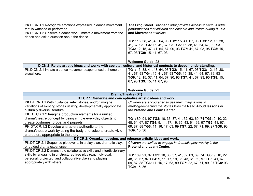| PK.D.CN.1.1 Recognize emotions expressed in dance movement<br>that is watched or performed.<br>PK.D.CN.1.2 Observe a dance work. Imitate a movement from the<br>dance and ask a question about the dance.                                                                                                                          | The Frog Street Teacher Portal provides access to various artist<br>performances that children can observe and imitate during Music<br>and Movement activities.<br>TG1: 15, 38, 41, 48, 64, 93 TG2: 15, 41, 67, 93 TG3: 12, 15, 38,<br>41, 67, 93 TG4: 15, 41, 67, 93 TG5: 15, 38, 41, 64, 67, 89, 93<br>TG6: 12, 15, 37, 41, 64, 67, 90, 93 TG7: 41, 67, 93, 95 TG8: 15,<br>67, 93 TG9: 15, 41, 67, 93<br><b>Welcome Guide: 23</b> |
|------------------------------------------------------------------------------------------------------------------------------------------------------------------------------------------------------------------------------------------------------------------------------------------------------------------------------------|-------------------------------------------------------------------------------------------------------------------------------------------------------------------------------------------------------------------------------------------------------------------------------------------------------------------------------------------------------------------------------------------------------------------------------------|
|                                                                                                                                                                                                                                                                                                                                    | D.CN.2: Relate artistic ideas and works with societal, cultural and historical contexts to deepen understanding.                                                                                                                                                                                                                                                                                                                    |
| PK.D.CN.2.1 Imitate a dance movement experienced at home or<br>elsewhere.                                                                                                                                                                                                                                                          | TG1: 15, 38, 41, 48, 64, 93 TG2: 15, 41, 67, 93 TG3: 12, 15, 38,<br>41, 67, 93 TG4: 15, 41, 67, 93 TG5: 15, 38, 41, 64, 67, 89, 93<br>TG6: 12, 15, 37, 41, 64, 67, 90, 93 TG7: 41, 67, 93, 95 TG8: 15,<br>67, 93 TG9: 15, 41, 67, 93<br><b>Welcome Guide: 23</b>                                                                                                                                                                    |
|                                                                                                                                                                                                                                                                                                                                    |                                                                                                                                                                                                                                                                                                                                                                                                                                     |
| Drama/Theatre (DT)<br>DT.CR.1: Generate and conceptualize artistic ideas and work.                                                                                                                                                                                                                                                 |                                                                                                                                                                                                                                                                                                                                                                                                                                     |
| PK.DT.CR.1.1 With guidance, retell stories, and/or imagine<br>variations of existing stories utilizing developmentally appropriate<br>culturally diverse literature.<br>PK.DT.CR.1.2 Imagine production elements for a unified                                                                                                     | Children are encouraged to use their imaginations in<br>retelling/reenacting the stories from the Read Aloud lessons in<br>the Pretend and Learn Center.                                                                                                                                                                                                                                                                            |
| drama/theatre concept by using simple everyday objects to<br>create costumes, props, and puppets.<br>PK.DT.CR.1.3 Develop characters authentic to the<br>drama/theatre work by using the body and voice to create vivid<br>characters appropriate to the story.                                                                    | TG1: 89, 91, 97 TG2: 10, 36, 37, 41, 62, 63, 69, 74 TG3: 9, 10, 22,<br>48, 61, 67, 87 TG4: 9, 11, 17, 19, 35, 43, 61, 69, 97 TG5: 41, 67,<br>69, 87, 88 TG6: 11, 16, 17, 63, 89 TG7: 22, 67, 71, 89, 97 TG8: 93<br>TG9: 15, 36                                                                                                                                                                                                      |
|                                                                                                                                                                                                                                                                                                                                    | DT.CR.2: Organize, develop, and rehearse artistic ideas and work.                                                                                                                                                                                                                                                                                                                                                                   |
| PK.DT.CR.2.1 Sequence plot events in a play plan, dramatic play,<br>or guided drama experience.<br>PK.DT.CR.2.2 Demonstrate collaborative skills and interdisciplinary<br>skills by engaging in unstructured free play (e.g. individual,<br>personal, projected, and collaborative play) and playing<br>appropriately with others. | Children are invited to engage in dramatic play weekly in the<br><b>Pretend and Learn Center.</b><br>TG1: 89, 91, 97 TG2: 10, 36, 37, 41, 62, 63, 69, 74 TG3: 9, 10, 22,<br>48, 61, 67, 87 TG4: 9, 11, 17, 19, 35, 43, 61, 69, 97 TG5: 41, 67,<br>69, 87, 88 TG6: 11, 16, 17, 63, 89 TG7: 22, 67, 71, 89, 97 TG8: 93                                                                                                                |
|                                                                                                                                                                                                                                                                                                                                    | TG9: 15, 36                                                                                                                                                                                                                                                                                                                                                                                                                         |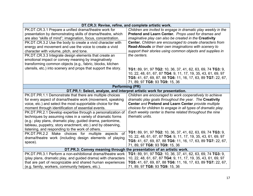| DT.CR.3: Revise, refine, and complete artistic work.                                                                                                                                                                                                                                                        |                                                                                                                                                                                                                                              |
|-------------------------------------------------------------------------------------------------------------------------------------------------------------------------------------------------------------------------------------------------------------------------------------------------------------|----------------------------------------------------------------------------------------------------------------------------------------------------------------------------------------------------------------------------------------------|
| PK.DT.CR.3.1 Prepare a unified drama/theatre work for<br>presentation by demonstrating skills of drama/theatre, which<br>are also "skills of mind"; imagination, focus, concentration.                                                                                                                      | Children are invited to engage in dramatic play weekly in the<br>Pretend and Learn Center. Props used for dramas and<br>imaginative play can also be created in the Creativity                                                               |
| PK.DT.CR.3.2 Use the body to create a vivid character with<br>energy and movement and use the voice to create a vivid<br>character with volume, pitch, and tone.                                                                                                                                            | <b>Center.</b> Children are encouraged to create characters from<br>Read-Alouds or their own imaginations with scenery to<br>support their stories using common objects and supplies in                                                      |
| PK.DT.CR.3.3 Integrate design elements that create an<br>emotional impact or convey meaning by imaginatively<br>transforming common objects (e.g., fabric, blocks, kitchen                                                                                                                                  | the centers.                                                                                                                                                                                                                                 |
| utensils, etc.) into scenery and props that support the story.                                                                                                                                                                                                                                              | TG1: 89, 91, 97 TG2: 10, 36, 37, 41, 62, 63, 69, 74 TG3: 9,<br>10, 22, 48, 61, 67, 87 TG4: 9, 11, 17, 19, 35, 43, 61, 69, 97<br>TG5: 41, 67, 69, 87, 88 TG6: 11, 16, 17, 63, 89 TG7: 22, 67,<br>71, 89, 97 TG8: 93 TG9: 15, 36               |
| <b>Performing (PR)</b>                                                                                                                                                                                                                                                                                      |                                                                                                                                                                                                                                              |
| DT.PR.1: Select, analyze, and interpret artistic work for presentation.                                                                                                                                                                                                                                     |                                                                                                                                                                                                                                              |
| PK.DT.PR.1.1 Demonstrate that there are multiple choices<br>for every aspect of drama/theatre work (movement, speaking<br>voice, etc.) and select the most supportable choice for the<br>moment through identification of essential events.                                                                 | Children are encouraged to work cooperatively to achieve<br>dramatic play goals throughout the year. The Creativity<br>Center and Pretend and Learn Center provide multiple<br>choices for children to engage in all types of dramatic play. |
| PK.DT.PR.2.1 Develop expertise through a personalization of<br>techniques by assuming roles in a variety of dramatic forms<br>(e.g.: play plans, dramatic play, guided drama, pantomime,<br>tableau, puppetry, story enactment, etc.) and by observing,<br>listening, and responding to the work of others. | Each weekly center is theme related throughout the nine<br>thematic units.                                                                                                                                                                   |
| PK.DT.PR.2.2 Make choices for multiple aspects of<br>drama/theatre work (including design elements of playing<br>space).                                                                                                                                                                                    | TG1: 89, 91, 97 TG2: 10, 36, 37, 41, 62, 63, 69, 74 TG3: 9,<br>10, 22, 48, 61, 67, 87 TG4: 9, 11, 17, 19, 35, 43, 61, 69, 97<br>TG5: 41, 67, 69, 87, 88 TG6: 11, 16, 17, 63, 89 TG7: 22, 67,<br>71, 89, 97 TG8: 93 TG9: 15, 36               |
| DT.PR.3: Convey meaning through the presentation of an artistic work.                                                                                                                                                                                                                                       |                                                                                                                                                                                                                                              |
| PK.DT.PR.3.1 Perform a non-exhibitional drama/theatre work<br>(play plans, dramatic play, and guided drama) with characters<br>that are part of recognizable and shared human experiences                                                                                                                   | TG1: 89, 91, 97 TG2: 10, 36, 37, 41, 62, 63, 69, 74 TG3: 9,<br>10, 22, 48, 61, 67, 87 TG4: 9, 11, 17, 19, 35, 43, 61, 69, 97<br>TG5: 41, 67, 69, 87, 88 TG6: 11, 16, 17, 63, 89 TG7: 22, 67,                                                 |
| (e.g. family, workers, community helpers, etc.).                                                                                                                                                                                                                                                            | 71, 89, 97 TG8: 93 TG9: 15, 36                                                                                                                                                                                                               |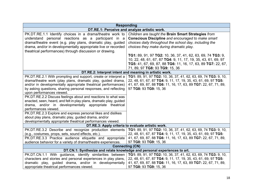|                                                                                                                                                                                                                                                                                                                                                                                                                                                                                                                                                                                                                                                                                                                     | <b>Responding</b>                                                                                                                                                                                                                                                                                                                                                                                                                                      |
|---------------------------------------------------------------------------------------------------------------------------------------------------------------------------------------------------------------------------------------------------------------------------------------------------------------------------------------------------------------------------------------------------------------------------------------------------------------------------------------------------------------------------------------------------------------------------------------------------------------------------------------------------------------------------------------------------------------------|--------------------------------------------------------------------------------------------------------------------------------------------------------------------------------------------------------------------------------------------------------------------------------------------------------------------------------------------------------------------------------------------------------------------------------------------------------|
|                                                                                                                                                                                                                                                                                                                                                                                                                                                                                                                                                                                                                                                                                                                     | DT.RE.1: Perceive and analyze artistic work.                                                                                                                                                                                                                                                                                                                                                                                                           |
| PK.DT.RE.1.1 Identify choices in a drama/theatre work to<br>understand personal reactions as a participant in a<br>drama/theatre event (e.g. play plans, dramatic play, guided<br>drama, and/or in developmentally appropriate live or recorded<br>theatrical performances) through discussion or drawing.                                                                                                                                                                                                                                                                                                                                                                                                          | Children are taught the Brain Smart Strategies from<br><b>Conscious Discipline and encouraged to make smart</b><br>choices daily throughout the school day, including the<br>choices they make during dramatic play.<br>TG1: 89, 91, 97 TG2: 10, 36, 37, 41, 62, 63, 69, 74 TG3: 9,<br>10, 22, 48, 61, 67, 87 TG4: 9, 11, 17, 19, 35, 43, 61, 69, 97<br>TG5: 41, 67, 69, 87, 88 TG6: 11, 16, 17, 63, 89 TG7: 22, 67,<br>71, 89, 97 TG8: 93 TG9: 15, 36 |
| DT.RE.2: Interpret intent and meaning in artistic work.                                                                                                                                                                                                                                                                                                                                                                                                                                                                                                                                                                                                                                                             |                                                                                                                                                                                                                                                                                                                                                                                                                                                        |
| PK.DT.RE.2.1 With prompting and support, create or interpret a<br>drama/theatre work (play plans, dramatic play, guided drama,<br>and/or in developmentally appropriate theatrical performances)<br>by asking questions, sharing personal responses, and reflecting<br>upon performances viewed.<br>PK.DT.RE.2.2 Discuss feelings about and reactions to what was<br>enacted, seen, heard, and felt in play plans, dramatic play, guided<br>drama, and/or in developmentally appropriate theatrical<br>performances viewed.<br>PK.DT.RE.2.3 Explore and express personal likes and dislikes<br>about play plans, dramatic play, guided drama, and/or<br>developmentally appropriate theatrical performances viewed. | TG1: 89, 91, 97 TG2: 10, 36, 37, 41, 62, 63, 69, 74 TG3: 9, 10,<br>22, 48, 61, 67, 87 TG4: 9, 11, 17, 19, 35, 43, 61, 69, 97 TG5:<br>41, 67, 69, 87, 88 TG6: 11, 16, 17, 63, 89 TG7: 22, 67, 71, 89,<br>97 TG8: 93 TG9: 15, 36                                                                                                                                                                                                                         |
| DT.RE.3: Apply criteria to evaluate artistic work.                                                                                                                                                                                                                                                                                                                                                                                                                                                                                                                                                                                                                                                                  |                                                                                                                                                                                                                                                                                                                                                                                                                                                        |
| PK.DT.RE.3.2 Describe and recognize production elements<br>(e.g., costumes, props, sets, sound effects, etc.).<br>PK.DT.RE.3.3 Practice audience etiquette and appropriate<br>audience behavior for a variety of drama/theatre experiences.                                                                                                                                                                                                                                                                                                                                                                                                                                                                         | TG1: 89, 91, 97 TG2: 10, 36, 37, 41, 62, 63, 69, 74 TG3: 9, 10,<br>22, 48, 61, 67, 87 TG4: 9, 11, 17, 19, 35, 43, 61, 69, 97 TG5:<br>41, 67, 69, 87, 88 TG6: 11, 16, 17, 63, 89 TG7: 22, 67, 71, 89,<br>97 TG8: 93 TG9: 15, 36<br><b>Connecting (CN)</b>                                                                                                                                                                                               |
|                                                                                                                                                                                                                                                                                                                                                                                                                                                                                                                                                                                                                                                                                                                     | DT.CN.1: Synthesize and relate knowledge and personal experiences to art.                                                                                                                                                                                                                                                                                                                                                                              |
| PK.DT.CN.1.1 With guidance, identify similarities between<br>characters and stories and personal experiences in play plans,<br>dramatic play, guided drama, and/or in developmentally<br>appropriate theatrical performances viewed.                                                                                                                                                                                                                                                                                                                                                                                                                                                                                | TG1: 89, 91, 97 TG2: 10, 36, 37, 41, 62, 63, 69, 74 TG3: 9, 10,<br>22, 48, 61, 67, 87 TG4: 9, 11, 17, 19, 35, 43, 61, 69, 97 TG5:<br>41, 67, 69, 87, 88 TG6: 11, 16, 17, 63, 89 TG7: 22, 67, 71, 89,<br>97 TG8: 93 TG9: 15, 36                                                                                                                                                                                                                         |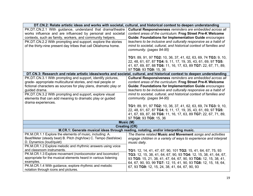|                                                                   | DT.CN.2: Relate artistic ideas and works with societal, cultural, and historical context to deepen understanding         |  |
|-------------------------------------------------------------------|--------------------------------------------------------------------------------------------------------------------------|--|
| PK.DT.CN.2.1 With guidance, understand that drama/theatre         | Cultural Responsiveness reminders are embedded across all                                                                |  |
| works influence and are influenced by personal and societal       | content areas of the curriculum. Frog Street Pre-K Welcome                                                               |  |
| contexts, such as family, workers, and community helpers.         | Guide: Foundations for Implementation Guide encourages                                                                   |  |
| PK.DT.CN.2.2 With prompting and support, explore the stories      | teachers to be inclusive and culturally responsive as a habit of                                                         |  |
| of the thirty-nine present day tribes that call Oklahoma home.    | mind to societal, cultural, and historical context of families and                                                       |  |
|                                                                   | community. (pages 94-95)                                                                                                 |  |
|                                                                   |                                                                                                                          |  |
|                                                                   | TG1: 89, 91, 97 TG2: 10, 36, 37, 41, 62, 63, 69, 74 TG3: 9, 10,                                                          |  |
|                                                                   | 22, 48, 61, 67, 87 TG4: 9, 11, 17, 19, 35, 43, 61, 69, 97 TG5:                                                           |  |
|                                                                   | 41, 67, 69, 87, 88 TG6: 11, 16, 17, 63, 89 TG7: 22, 67, 71, 89,                                                          |  |
|                                                                   | 97 TG8: 93 TG9: 15, 36                                                                                                   |  |
|                                                                   | DT.CN.3: Research and relate artistic ideas/works and societal, cultural, and historical context to deepen understanding |  |
| PK.DT.CN.3.1 With prompting and support, identify pictures,       | Cultural Responsiveness reminders are embedded across all                                                                |  |
| grade- appropriate multicultural stories, and real people or      | content areas of the curriculum. Frog Street Pre-K Welcome                                                               |  |
| fictional characters as sources for play plans, dramatic play or  | <b>Guide: Foundations for Implementation Guide encourages</b>                                                            |  |
| guided drama.                                                     | teachers to be inclusive and culturally responsive as a habit of                                                         |  |
| PK.DT.CN.3.2 With prompting and support, explore visual           | mind to societal, cultural, and historical context of families and                                                       |  |
| elements that can add meaning to dramatic play or guided          | community. (pages 94-95)                                                                                                 |  |
| drama experiences.                                                |                                                                                                                          |  |
|                                                                   | TG1: 89, 91, 97 TG2: 10, 36, 37, 41, 62, 63, 69, 74 TG3: 9, 10,                                                          |  |
|                                                                   | 22, 48, 61, 67, 87 TG4: 9, 11, 17, 19, 35, 43, 61, 69, 97 TG5:                                                           |  |
|                                                                   | 41, 67, 69, 87, 88 TG6: 11, 16, 17, 63, 89 TG7: 22, 67, 71, 89,<br>97 TG8: 93 TG9: 15, 36                                |  |
|                                                                   | Music (M)                                                                                                                |  |
|                                                                   | <b>Creating (CR)</b>                                                                                                     |  |
|                                                                   | M.CR.1: Generate musical ideas through reading, notating, and/or interpreting music.                                     |  |
| PK.M.CR.1.1 Explore the elements of music, including: A.          | The theme related Music and Movement songs and activities                                                                |  |
| Beat/Meter (steady beat) B. Pitch (high/low) C. Tempo (fast/slow) | engage children in a variety of ways to experience and interpret                                                         |  |
| D. Dynamics (loud/quiet)                                          | music daily.                                                                                                             |  |
| PK.M.CR.1.2 Explore melodic and rhythmic answers using voice      |                                                                                                                          |  |
| and classroom instruments.                                        | TG1: 12, 14, 41, 47, 67, 90, 101 TG2: 15, 41, 64, 67, 75, 93                                                             |  |
| PK.M.CR.1.3 Explore movement (nonlocomotor and locomotor)         | TG3: 12, 15, 38, 41, 64, 67, 90, 93 TG4: 12, 15, 38, 41, 64, 67,                                                         |  |
| appropriate for the musical elements heard in various listening   | 93 TG5: 15, 21, 38, 41, 47, 64, 67, 90, 93 TG6: 12, 15, 38, 41,                                                          |  |
| examples.                                                         | 64, 67, 90, 93, 99 TG7: 12, 15, 41, 90, 93 TG8: 12, 15, 18, 64,                                                          |  |
| PK.M.CR.1.4 With guidance, explore rhythmic and melodic           | 67, 93 TG9: 12, 15, 24, 38, 41, 64, 67, 90, 93                                                                           |  |
| notation through icons and pictures.                              |                                                                                                                          |  |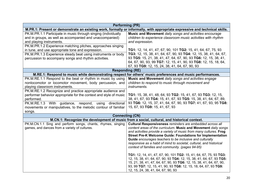|                                                                   | <b>Performing (PR)</b>                                                                                                          |  |
|-------------------------------------------------------------------|---------------------------------------------------------------------------------------------------------------------------------|--|
|                                                                   | M.PR.1: Present or demonstrate an existing work, formally or informally, with appropriate expressive and technical skills.      |  |
| PK.M.PR.1.1 Participate in music through singing (individually    | Music and Movement daily songs and activities encourage                                                                         |  |
| and in groups, as well as accompanied and unaccompanied)          | children to experience classroom music activities with rhythm                                                                   |  |
| and playing instruments.                                          | and expression.                                                                                                                 |  |
| PK.M.PR.1.2 Experience matching pitches, approaches singing       |                                                                                                                                 |  |
| in tune, and use appropriate tone and expression.                 | TG1: 12, 14, 41, 47, 67, 90, 101 TG2: 15, 41, 64, 67, 75, 93                                                                    |  |
| PK.M.PR.1.3 Experience steady beat using instruments or body      | TG3: 12, 15, 38, 41, 64, 67, 90, 93 TG4: 12, 15, 38, 41, 64, 67,                                                                |  |
| percussion to accompany songs and rhythm activities.              | 93 TG5: 15, 21, 38, 41, 47, 64, 67, 90, 93 TG6: 12, 15, 38, 41,                                                                 |  |
|                                                                   | 64, 67, 90, 93, 99 TG7: 12, 15, 41, 90, 93 TG8: 12, 15, 18, 64,                                                                 |  |
|                                                                   | 67, 93 TG9: 12, 15, 24, 38, 41, 64, 67, 90, 93                                                                                  |  |
| <b>Responding (RE)</b>                                            |                                                                                                                                 |  |
|                                                                   | M.RE.1: Respond to music while demonstrating respect for others' music preferences and music performances.                      |  |
| PK.M.RE.1.1 Respond to the beat or rhythm in music by using       | Music and Movement daily songs and activities engage                                                                            |  |
| nonlocomotor or locomotor movement, body percussion, and          | children to respond to music through movement and                                                                               |  |
| playing classroom instruments.                                    | <i>instruments.</i>                                                                                                             |  |
| PK.M.RE.1.2 Recognize and practice appropriate audience and       |                                                                                                                                 |  |
| performer behavior appropriate for the context and style of music | TG1: 15, 38, 41, 48, 64, 93 TG2: 15, 41, 67, 93 TG3: 12, 15,                                                                    |  |
| performed.                                                        | 38, 41, 67, 93 TG4: 15, 41, 67, 93 TG5: 15, 38, 41, 64, 67, 89,                                                                 |  |
| PK.M.RE.1.3 With guidance, respond,<br>directional<br>using       | 93 TG6: 12, 15, 37, 41, 64, 67, 90, 93 TG7: 41, 67, 93, 95 TG8:                                                                 |  |
| movements or manipulatives, to the melodic contour of familiar    | 15, 67, 93 TG9: 15, 41, 67, 93                                                                                                  |  |
| songs.                                                            |                                                                                                                                 |  |
|                                                                   | <b>Connecting (CN)</b>                                                                                                          |  |
|                                                                   | M.CN.1: Recognize the development of music from a social, cultural, and historical context.                                     |  |
| PK.M.CN.1.1 Sing and perform songs, chants, rhymes, singing       | Cultural Responsiveness reminders are embedded across all                                                                       |  |
| games, and dances from a variety of cultures.                     | content areas of the curriculum. Music and Movement daily songs                                                                 |  |
|                                                                   | and activities provide a variety of music from many cultures. Frog                                                              |  |
|                                                                   | <b>Street Pre-K Welcome Guide: Foundations for Implementation</b>                                                               |  |
|                                                                   | Guide encourages teachers to be inclusive and culturally<br>responsive as a habit of mind to societal, cultural, and historical |  |
|                                                                   | context of families and community. (pages 94-95)                                                                                |  |
|                                                                   |                                                                                                                                 |  |
|                                                                   | TG1: 12, 14, 41, 47, 67, 90, 101 TG2: 15, 41, 64, 67, 75, 93 TG3:                                                               |  |
|                                                                   | 12, 15, 38, 41, 64, 67, 90, 93 TG4: 12, 15, 38, 41, 64, 67, 93 TG5:                                                             |  |
|                                                                   | 15, 21, 38, 41, 47, 64, 67, 90, 93 TG6: 12, 15, 38, 41, 64, 67, 90,                                                             |  |
|                                                                   | 93, 99 TG7: 12, 15, 41, 90, 93 TG8: 12, 15, 18, 64, 67, 93 TG9:                                                                 |  |
|                                                                   | 12, 15, 24, 38, 41, 64, 67, 90, 93                                                                                              |  |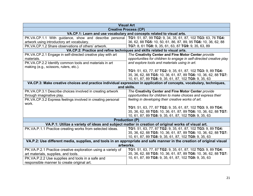|                                                                                                                       | <b>Visual Art</b>                                                          |
|-----------------------------------------------------------------------------------------------------------------------|----------------------------------------------------------------------------|
|                                                                                                                       | <b>Creative Process (CP)</b>                                               |
|                                                                                                                       | VA.CP.1: Learn and use vocabulary and concepts related to visual arts.     |
| PK.VA.CP.1.1 With guidance, show and describe personal                                                                | TG1: 51, 87, 99 TG2: 9, 34, 35, 61, 87, 102 TG3: 63, 76 TG4:               |
| artwork using introductory art vocabulary.                                                                            | 36, 62, 88 TG5: 10, 50, 61, 86, 87, 89, 95 TG6: 10, 36, 62, 88             |
| PK.VA.CP.1.2 Share observations of others' artwork.                                                                   | TG7: 8, 61 TG8: 9, 35, 61, 63, 87 TG9: 9, 35, 63, 89                       |
|                                                                                                                       | VA.CP.2: Practice and refine techniques and skills related to visual arts. |
| PK.VA.CP.2.1 Engage in self-directed creative play with art                                                           | The Creativity Center and Fine Motor Center provide                        |
| materials.                                                                                                            | opportunities for children to engage in self-directed creative play        |
| PK.VA.CP.2.2 Identify common tools and materials in art                                                               | and explore tools and materials using in art.                              |
| making (e.g., scissors, rulers, etc.).                                                                                |                                                                            |
|                                                                                                                       | TG1: 51, 63, 77, 87 TG2: 9, 35, 61, 87, 102 TG3: 9, 89 TG4:                |
|                                                                                                                       | 35, 36, 62, 88 TG5: 10, 36, 61, 87, 89 TG6: 10, 36, 62, 88 TG7:            |
|                                                                                                                       | 10, 61, 87, 89 TG8: 9, 35, 61, 87, 102 TG9: 9, 35, 63                      |
| VA.CP.3: Make creative choices and practice individual expression in application of concepts, vocabulary, techniques, |                                                                            |
|                                                                                                                       | and skills.                                                                |
| PK.VA.CP.3.1 Describe choices involved in creating artwork                                                            | The Creativity Center and Fine Motor Center provide                        |
| through imaginative play.                                                                                             | opportunities for children to make choices and express their               |
| PK.VA.CP.3.2 Express feelings involved in creating personal                                                           | feeling in developing their creative works of art.                         |
| work.                                                                                                                 |                                                                            |
|                                                                                                                       | TG1: 51, 63, 77, 87 TG2: 9, 35, 61, 87, 102 TG3: 9, 89 TG4:                |
|                                                                                                                       | 35, 36, 62, 88 TG5: 10, 36, 61, 87, 89 TG6: 10, 36, 62, 88 TG7:            |
|                                                                                                                       | 10, 61, 87, 89 TG8: 9, 35, 61, 87, 102 TG9: 9, 35, 63                      |
|                                                                                                                       | <b>Production (P)</b>                                                      |
| VA.P.1: Utilize a variety of ideas and subject matter in creation of original works of visual art.                    |                                                                            |
| PK.VA.P.1.1 Practice creating works from selected ideas.                                                              | TG1: 51, 63, 77, 87 TG2: 9, 35, 61, 87, 102 TG3: 9, 89 TG4:                |
|                                                                                                                       | 35, 36, 62, 88 TG5: 10, 36, 61, 87, 89 TG6: 10, 36, 62, 88 TG7:            |
|                                                                                                                       | 10, 61, 87, 89 TG8: 9, 35, 61, 87, 102 TG9: 9, 35, 63                      |
| VA.P.2: Use different media, supplies, and tools in an appropriate and safe manner in the creation of original visual |                                                                            |
| artworks.                                                                                                             |                                                                            |
| PK.VA.P.2.1 Practice creative exploration using a variety of                                                          | TG1: 51, 63, 77, 87 TG2: 9, 35, 61, 87, 102 TG3: 9, 89 TG4:                |
| art materials, supplies, and tools.                                                                                   | 35, 36, 62, 88 TG5: 10, 36, 61, 87, 89 TG6: 10, 36, 62, 88 TG7:            |
| PK.VA.P.2.2 Use supplies and tools in a safe and                                                                      | 10, 61, 87, 89 TG8: 9, 35, 61, 87, 102 TG9: 9, 35, 63                      |
| responsible manner to create original art.                                                                            |                                                                            |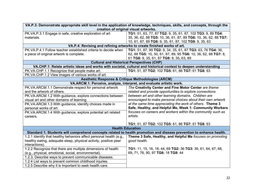| VA.P.3: Demonstrate appropriate skill level in the application of knowledge, techniques, skills, and concepts, through the |                                                                                                                  |  |
|----------------------------------------------------------------------------------------------------------------------------|------------------------------------------------------------------------------------------------------------------|--|
|                                                                                                                            | creation of original visual artworks.                                                                            |  |
| PK.VA.P.3.1 Engage in safe, creative exploration of art                                                                    | TG1: 51, 63, 77, 87 TG2: 9, 35, 61, 87, 102 TG3: 9, 89 TG4:                                                      |  |
| materials.                                                                                                                 | 35, 36, 62, 88 TG5: 10, 36, 61, 87, 89 TG6: 10, 36, 62, 88 TG7:                                                  |  |
|                                                                                                                            | 10, 61, 87, 89 TG8: 9, 35, 61, 87, 102 TG9: 9, 35, 63                                                            |  |
|                                                                                                                            | VA.P.4: Revising and refining artworks to create finished works of art.                                          |  |
| PK.VA.P.4.1 Follow teacher established criteria to decide when                                                             | TG1: 51, 87, 99 TG2: 9, 34, 35, 61, 87 TG3: 63, 76 TG4: 36,                                                      |  |
| a piece of original artwork is complete.                                                                                   | 62, 88 TG5: 10, 50, 61, 87, 89, 95 TG6: 10, 36, 62, 88 TG7: 8,                                                   |  |
|                                                                                                                            | 61 TG8: 9, 35, 61, 87 TG9: 9, 35, 63, 89                                                                         |  |
|                                                                                                                            | <b>Cultural and Historical Perspectives (CHP)</b>                                                                |  |
|                                                                                                                            | VA.CHP.1: Relate artistic ideas and works with societal, cultural and historical context to deepen understanding |  |
| PK.VA.CHP.1.1 Recognize that people make art.                                                                              | TG1: 51, 87 TG2: 102 TG5: 61, 86 TG7: 61 TG8: 63                                                                 |  |
| PK.VA.CHP.1.2 View images of various works of art.                                                                         |                                                                                                                  |  |
| <b>Aesthetic Response &amp; Critique Methodologies (ARCM)</b>                                                              |                                                                                                                  |  |
|                                                                                                                            | VA.ARCM.1: Perceive, analyze, interpret, and evaluate artistic work.                                             |  |
| PK.VA.ARCM.1.1 Demonstrate respect for personal artwork                                                                    | The Creativity Center and Fine Motor Center are theme                                                            |  |
| and the artwork of others.                                                                                                 | related and provide opportunities to explore connections                                                         |  |
| PK.VA.ARCM.1.2 With guidance, explore connections between                                                                  | between art and other learning domains. Children are                                                             |  |
| visual art and other domains of learning.                                                                                  | encouraged to make personal choices about their own artwork                                                      |  |
| PK.VA.ARCM.1.3 With guidance, identify choices made in                                                                     | at the same time appreciating the work of others. Theme 3                                                        |  |
| personal works of art.                                                                                                     | Safe, Healthy, and Helpful Me, Week 1: Community Workers                                                         |  |
| PK.VA.ARCM.1.4 With guidance, explore potential art related                                                                | focuses on careers and workers within the community such as                                                      |  |
| careers.                                                                                                                   | artists.                                                                                                         |  |
|                                                                                                                            |                                                                                                                  |  |
|                                                                                                                            | TG1: 51, 87 TG2: 102 TG5: 61, 86 TG7: 61 TG8: 63                                                                 |  |
| <b>Health Education</b>                                                                                                    |                                                                                                                  |  |
| Standard 1: Students will comprehend concepts related to health promotion and disease prevention to enhance health.        |                                                                                                                  |  |
| 1.2.1 Identify that healthy behaviors affect personal health (e.g.,                                                        | Theme 3 Safe, Healthy, and Helpful Me focuses on promoting                                                       |  |
| healthy eating, adequate sleep, physical activity, positive peer                                                           | good health.                                                                                                     |  |
| interactions).                                                                                                             |                                                                                                                  |  |
| 1.2.2 Recognize that there are multiple dimensions of health                                                               | TG1: 11, 15, 16, 18, 44, 69 TG2: 36 TG3: 39, 61, 64, 67, 68,                                                     |  |
| (e.g., physical, emotional, social, environmental).                                                                        | 69, 71, 76, 90, 97 TG6: 18 TG8: 44                                                                               |  |
| 1.2.3. Describe ways to prevent communicable diseases.                                                                     |                                                                                                                  |  |
| 1.2.4 List ways to prevent common childhood injuries.                                                                      |                                                                                                                  |  |
| 1.2.5 Describe why it is important to seek health care.                                                                    |                                                                                                                  |  |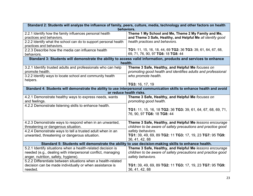| Standard 2: Students will analyze the influence of family, peers, culture, media, technology and other factors on health<br>behaviors.                                                                                            |                                                                                                                                              |  |
|-----------------------------------------------------------------------------------------------------------------------------------------------------------------------------------------------------------------------------------|----------------------------------------------------------------------------------------------------------------------------------------------|--|
| 2.2.1 Identify how the family influences personal health<br>practices and behaviors.                                                                                                                                              | Theme 1 My School and Me, Theme 2 My Family and Me,<br>and Theme 3 Safe, Healthy, and Helpful Me all identify good                           |  |
| 2.2.2 Identify what the school can do to support personal health<br>practices and behaviors.                                                                                                                                      | health practices and behaviors.                                                                                                              |  |
| 2.2.3 Describe how the media can influence health<br>behaviors.                                                                                                                                                                   | TG1: 11, 15, 16, 18, 44, 69 TG2: 36 TG3: 39, 61, 64, 67, 68,<br>69, 71, 76, 90, 97 TG6: 18 TG8: 44                                           |  |
| Standard 3: Students will demonstrate the ability to access valid information, products and services to enhance<br>health.                                                                                                        |                                                                                                                                              |  |
| 3.2.1 Identify trusted adults and professionals who can help<br>promote health.<br>3.2.2 Identify ways to locate school and community health<br>helpers.                                                                          | Theme 3 Safe, Healthy, and Helpful Me focuses on<br>promoting good health and identifies adults and professional<br>who promote health.      |  |
|                                                                                                                                                                                                                                   | TG3: 16, 17, 19                                                                                                                              |  |
| Standard 4: Students will demonstrate the ability to use interpersonal communication skills to enhance health and avoid<br>or reduce health risks.                                                                                |                                                                                                                                              |  |
| 4.2.1 Demonstrate healthy ways to express needs, wants<br>and feelings.                                                                                                                                                           | Theme 3 Safe, Healthy, and Helpful Me focuses on<br>promoting good health.                                                                   |  |
| 4.2.2 Demonstrate listening skills to enhance health.                                                                                                                                                                             | TG1: 11, 15, 16, 18 TG2: 36 TG3: 39, 61, 64, 67, 68, 69, 71,<br>76, 90, 97 TG6: 18 TG8: 44                                                   |  |
| 4.2.3 Demonstrate ways to respond when in an unwanted,<br>threatening or dangerous situation.                                                                                                                                     | Theme 3 Safe, Healthy, and Helpful Me lessons encourage<br>children to be aware of safety precautions and practice good                      |  |
| 4.2.4 Demonstrate ways to tell a trusted adult when in an<br>unwanted, threatening or dangerous situation.                                                                                                                        | safety behaviors.<br>TG1: 39, 49, 69, 89 TG2: 11 TG3: 17, 19, 23 TG7: 95 TG9:<br>36, 41, 42, 88                                              |  |
| to use decision-making skills to enhance health.<br>Standard 5: Students will demonstrate the ability                                                                                                                             |                                                                                                                                              |  |
| 5.2.1 Identify situations when a health-related decision is<br>needed (e.g., dealing with interpersonal conflict, managing<br>anger, nutrition, safety, hygiene).<br>5.2.2 Differentiate between situations when a health-related | Theme 3 Safe, Healthy, and Helpful Me lessons encourage<br>children to be aware of safety precautions and practice good<br>safety behaviors. |  |
| decision can be made individually or when assistance is<br>needed.                                                                                                                                                                | TG1: 39, 49, 69, 89 TG2: 11 TG3: 17, 19, 23 TG7: 95 TG9:<br>36, 41, 42, 88                                                                   |  |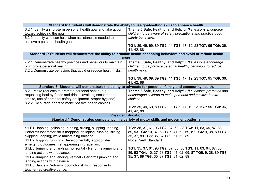|                                                                                                                     | Standard 6: Students will demonstrate the ability to use goal-setting skills to enhance health.          |
|---------------------------------------------------------------------------------------------------------------------|----------------------------------------------------------------------------------------------------------|
| 6.2.1 Identify a short-term personal health goal and take action                                                    | Theme 3 Safe, Healthy, and Helpful Me lessons encourage                                                  |
| toward achieving the goal.                                                                                          | children to be aware of safety precautions and practice good                                             |
| 6.2.2 Identify who can help when assistance is needed to                                                            | safety behaviors.                                                                                        |
| achieve a personal health goal.                                                                                     |                                                                                                          |
|                                                                                                                     | TG1: 39, 49, 69, 89 TG2: 11 TG3: 17, 19, 23 TG7: 95 TG9: 36,                                             |
|                                                                                                                     | 41, 42, 88                                                                                               |
| Standard 7: Students will demonstrate the ability to practice health-enhancing behaviors and avoid or reduce health |                                                                                                          |
|                                                                                                                     | risks.                                                                                                   |
| 7.2.1 Demonstrate healthy practices and behaviors to maintain                                                       | Theme 3 Safe, Healthy, and Helpful Me lessons encourage                                                  |
| or improve personal health.                                                                                         | children to be practice personal healthy behaviors to reduce                                             |
| 7.2.2 Demonstrate behaviors that avoid or reduce health risks.                                                      | health risks.                                                                                            |
|                                                                                                                     | TG1: 39, 49, 69, 89 TG2: 11 TG3: 17, 19, 23 TG7: 95 TG9: 36,                                             |
|                                                                                                                     | 41, 42, 88                                                                                               |
|                                                                                                                     | Standard 8: Students will demonstrate the ability to advocate for personal, family and community health. |
| 8.2.1 Make requests to promote personal health (e.g.,                                                               | Theme 3 Safe, Healthy, and Helpful Me lessons promotes and                                               |
| requesting healthy foods and drinks, avoiding second hand                                                           | encourages children to make personal and positive health                                                 |
| smoke, use of personal safety equipment, proper hygiene).                                                           | choices.                                                                                                 |
| 8.2.2 Encourage peers to make positive health choices.                                                              |                                                                                                          |
|                                                                                                                     | TG1: 39, 49, 69, 89 TG2: 11 TG3: 17, 19, 23 TG7: 95 TG9: 36,                                             |
|                                                                                                                     | 41, 42, 88                                                                                               |
|                                                                                                                     | <b>Physical Education</b>                                                                                |
|                                                                                                                     | Standard 1 Demonstrates competency in a variety of motor skills and movement patterns.                   |
|                                                                                                                     |                                                                                                          |
| S1.E1 Hopping, galloping, running, sliding, skipping, leaping -                                                     | TG1: 35, 37, 61, 93 TG2: 37, 63, 88 TG3: 11, 63, 64, 87, 88,                                             |
| Performs locomotor skills (hopping, galloping, running, sliding,                                                    | 89, 93 TG4: 10, 37, 63 TG5: 41, 62, 69, 87 TG6: 9, 38, 89 TG7:                                           |
| skipping, leaping) while maintaining balance.                                                                       | 35, 37, 89 TG8: 35, 37 TG9: 61, 62, 89                                                                   |
| S1.E2 Jogging, running - Developmentally appropriate/                                                               | Not a Pre-K Standard.                                                                                    |
| emerging outcomes first appearing in grade two.                                                                     |                                                                                                          |
| S1.E3 Jumping and landing, horizontal - Performs jumping and                                                        | TG1: 35, 37, 61, 93 TG2: 37, 63, 88 TG3: 11, 63, 64, 87, 88,                                             |
| landing actions with balance.                                                                                       | 89, 93 TG4: 10, 37, 63 TG5: 41, 62, 69, 87 TG6: 9, 38, 89 TG7:                                           |
| S1.E4 Jumping and landing, vertical - Performs jumping and                                                          | 35, 37, 89 TG8: 35, 37 TG9: 61, 62, 89                                                                   |
| landing actions with balance.                                                                                       |                                                                                                          |
| S1.E5 Dance - Performs locomotor skills in response to                                                              |                                                                                                          |
| teacher-led creative dance.                                                                                         |                                                                                                          |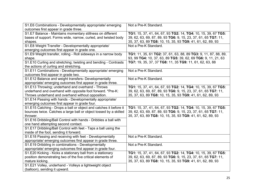| S1.E6 Combinations - Developmentally appropriate/ emerging        | Not a Pre-K Standard.                                           |
|-------------------------------------------------------------------|-----------------------------------------------------------------|
| outcomes first appear in grade three.                             |                                                                 |
| S1.E7 Balance - Maintains momentary stillness on different        | TG1: 15, 37, 41, 64, 67, 93 TG2: 14, TG4: 10, 15, 39, 67 TG5:   |
| bases of support. Forms wide, narrow, curled, and twisted body    | 39, 62, 63, 69, 87, 89, 93 TG6: 9, 15, 23, 37, 61, 65 TG7: 11,  |
| shapes.                                                           | 35, 37, 63, 89 TG8: 10, 15, 35, 93 TG9: 41, 61, 62, 89, 93      |
| S1.E8 Weight Transfer - Developmentally appropriate/              | Not a Pre-K Standard.                                           |
| emerging outcomes first appear in grade one.                      |                                                                 |
| S1.E9 Weight transfer, rolling - Roll sideways in a narrow body   | TG1: 11, 35, 61 TG2: 37, 61, 63, 88, 89 TG3: 9, 11, 87, 88, 89, |
| shape.                                                            | 93, 99 TG4: 10, 37, 63, 89 TG5: 39, 62, 69 TG6: 9, 11, 21, 63   |
| S1.E10 Curling and stretching; twisting and bending - Contrasts   | TG7: 19, 35, 37, 37 TG8: 11, 35 TG9: 11, 61, 62, 63, 88         |
| the actions of curling and stretching.                            |                                                                 |
| S1.E11 Combinations - Developmentally appropriate/ emerging       | Not a Pre-K Standard.                                           |
| outcomes first appear in grade two.                               |                                                                 |
| S1.E12 Balance and weight transfers- Developmentally              | Not a Pre-K Standard.                                           |
| appropriate/ emerging outcomes first appear in grade three.       |                                                                 |
| S1.E13 Throwing; underhand and overhand - Throws                  | TG1: 15, 37, 41, 64, 67, 93 TG2: 14, TG4: 10, 15, 39, 67 TG5:   |
| underhand and overhand with opposite foot forward. *Pre-K:        | 39, 62, 63, 69, 87, 89, 93 TG6: 9, 15, 23, 37, 61, 65 TG7: 11,  |
| Throws underhand and overhand without opposition.                 | 35, 37, 63, 89 TG8: 10, 15, 35, 93 TG9: 41, 61, 62, 89, 93      |
| S1.E14 Passing with hands - Developmentally appropriate/          |                                                                 |
| emerging outcomes first appear in grade four.                     |                                                                 |
| S1.E15 Catching - Drops a ball or object and catches it before it | TG1: 15, 37, 41, 64, 67, 93 TG2: 14, TG4: 10, 15, 39, 67 TG5:   |
| bounces twice. Catches a large ball or object tossed by a skilled | 39, 62, 63, 69, 87, 89, 93 TG6: 9, 15, 23, 37, 61, 65 TG7: 11,  |
| thrower.                                                          | 35, 37, 63, 89 TG8: 10, 15, 35, 93 TG9: 41, 61, 62, 89, 93      |
| S1.E16 Dribbling/Ball Control with hands - Dribbles a ball with   |                                                                 |
| one hand attempting second contact.                               |                                                                 |
| S1.E17 Dribbling/Ball Control with feet - Taps a ball using the   |                                                                 |
| inside of the foot, sending it forward.                           |                                                                 |
| S1.E18 Passing and receiving with feet - Developmentally          | Not a Pre-K Standard.                                           |
| appropriate/ emerging outcomes first appear in grade three.       |                                                                 |
| S1.E19 Dribbling in combinations - Developmentally                | Not a Pre-K Standard.                                           |
| appropriate/ emerging outcomes first appear in grade four.        |                                                                 |
| S1.E20 Kicking - Kicks a stationary ball from a stationary        | TG1: 15, 37, 41, 64, 67, 93 TG2: 14, TG4: 10, 15, 39, 67 TG5:   |
| position demonstrating two of the five critical elements of       | 39, 62, 63, 69, 87, 89, 93 TG6: 9, 15, 23, 37, 61, 65 TG7: 11,  |
| mature kicking.                                                   | 35, 37, 63, 89 TG8: 10, 15, 35, 93 TG9: 41, 61, 62, 89, 93      |
| S1.E21 Volley, underhand - Volleys a lightweight object           |                                                                 |
| (balloon), sending it upward.                                     |                                                                 |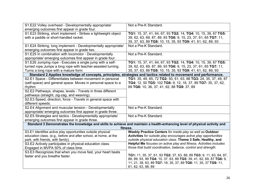| S1.E22 Volley overhead - Developmentally appropriate/                                                                      | Not a Pre-K Standard.                                               |  |
|----------------------------------------------------------------------------------------------------------------------------|---------------------------------------------------------------------|--|
| emerging outcomes first appear in grade four.                                                                              |                                                                     |  |
| S1.E23 Striking, short implement - Strikes a lightweight object                                                            | TG1: 15, 37, 41, 64, 67, 93 TG2: 14, TG4: 10, 15, 39, 67 TG5:       |  |
| with a paddle or short-handled racket.                                                                                     | 39, 62, 63, 69, 87, 89, 93 TG6: 9, 15, 23, 37, 61, 65 TG7: 11,      |  |
|                                                                                                                            | 35, 37, 63, 89 TG8: 10, 15, 35, 93 TG9: 41, 61, 62, 89, 93          |  |
| S1.E24 Striking, long implement - Developmentally appropriate/                                                             | Not a Pre-K Standard.                                               |  |
| emerging outcomes first appear in grade two.                                                                               |                                                                     |  |
| S1.E25 In combination with locomotor - Developmentally                                                                     | Not a Pre-K Standard.                                               |  |
| appropriate/ emerging outcomes first appear in grade four.                                                                 |                                                                     |  |
| S1.E26 Jumping rope - Executes a single jump with a self-                                                                  | TG1: 15, 37, 41, 64, 67, 93 TG2: 14, TG4: 10, 15, 39, 67 TG5:       |  |
| turned rope. Jumps a long rope with teacher-assisted turning.                                                              | 39, 62, 63, 69, 87, 89, 93 TG6: 9, 15, 23, 37, 61, 65 TG7: 11,      |  |
| Turns a long rope with a mature form.                                                                                      | 35, 37, 63, 89 TG8: 10, 15, 35, 93 TG9: 41, 61, 62, 89, 93          |  |
| Standard 2 Applies knowledge of concepts, principles, strategies and tactics related to movement and performance.          |                                                                     |  |
| S2.E1 Space - Differentiates between movement in personal                                                                  | TG1: 35, 49, 65, 72 TG2: 50, 61, 63, 88 TG3: 24, 35, 37, 49, 87     |  |
| (self-space) and general space. Moves in personal space to a                                                               | TG4: 12, 50 TG5: 102 TG6: 9, 12, 16, 37, 89 TG7: 35, 37, 62,        |  |
| rhythm                                                                                                                     | 89 TG8: 10, 36, 37, 41, 62, 88 TG9: 37, 89                          |  |
| S2.E2 Pathways, shapes, levels - Travels in three different                                                                |                                                                     |  |
| pathways (straight, zig-zag, and weaving).                                                                                 |                                                                     |  |
| S2.E3 Speed, direction, force - Travels in general space with                                                              |                                                                     |  |
| different speeds.                                                                                                          |                                                                     |  |
| S2.E4 Alignment and muscular tension - Developmentally                                                                     | Not a Pre-K Standard.                                               |  |
| appropriate/ emerging outcomes first appear in grade three.                                                                |                                                                     |  |
| S2.E5 Strategies and tactics - Developmentally appropriate/                                                                | Not a Pre-K Standard.                                               |  |
| emerging outcomes first appear in grade three.                                                                             |                                                                     |  |
| Standard 3 Demonstrates the knowledge and skills to achieve and maintain a health-enhancing level of physical activity and |                                                                     |  |
| fitness.                                                                                                                   |                                                                     |  |
| S3.E1 Identifies active play opportunities outside physical                                                                | Weekly Practice Centers for inside play as well as Outdoor          |  |
| education class. (e.g., before and after school, at home, at the                                                           | Activities for outside play encourages active play opportunities    |  |
| park, with friends, with family).                                                                                          | outside physical education class. Theme 3 Safe, Healthy, and        |  |
| S3.E2 Actively participates in physical education class.                                                                   | Helpful Me focuses on active play and fitness. Activities includes  |  |
| Engaged in MVPA 50% of class time.                                                                                         | those that build coordination, balance, control and strength.       |  |
| S3.E3 Recognizes that when you move fast, your heart beats                                                                 |                                                                     |  |
| faster and you breathe faster.                                                                                             | TG1: 11, 35, 37, 61, 93 TG2: 37, 63, 88, 89 TG3: 9, 11, 63, 64, 87, |  |
|                                                                                                                            | 88, 89, 93, 99 TG4: 10, 37, 63, 89 TG5: 39, 41, 62, 69, 87 TG6: 9,  |  |
|                                                                                                                            | 11, 21, 38, 63, 89 TG7: 19, 35, 37, 89 TG8: 11, 35, 37 TG9: 11,     |  |
|                                                                                                                            | 61, 62, 63, 88, 89                                                  |  |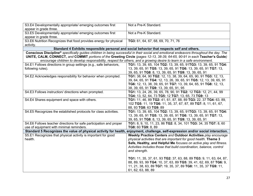| S3.E4 Developmentally appropriate/ emerging outcomes first<br>appear in grade three.                                                   | Not a Pre-K Standard.                                                                                                  |  |
|----------------------------------------------------------------------------------------------------------------------------------------|------------------------------------------------------------------------------------------------------------------------|--|
| S3.E5 Developmentally appropriate/ emerging outcomes first                                                                             | Not a Pre-K Standard.                                                                                                  |  |
| appear in grade three.                                                                                                                 |                                                                                                                        |  |
| S3.E6 Nutrition Recognizes that food provides energy for physical                                                                      | TG3: 61, 64, 67, 68, 69, 70, 71, 76                                                                                    |  |
| activity.                                                                                                                              |                                                                                                                        |  |
|                                                                                                                                        | Standard 4 Exhibits responsible personal and social behavior that respects self and others.                            |  |
| Conscious Discipline® specifically guides children in being successful in their social and emotional endeavors throughout the day. The |                                                                                                                        |  |
| UNITE, CALM, CONNECT, and COMMIT portions of the Greeting Circle (pages 12-13, 38-39, 64-65, 90-91 in each Teacher's Guide)            |                                                                                                                        |  |
|                                                                                                                                        | encourage children to develop responsibility, respect for others, and a growing desire to learn in a safe environment. |  |
| S4.E1 Follows directions in group settings (e.g., safe behaviors,                                                                      | TG1: 13, 39, 65, 104 TG2: 13, 39, 65, 91TG3: 13, 39, 65, 91 TG4:                                                       |  |
| following rules).                                                                                                                      | 13, 39, 65, 91 TG5: 13, 39, 65, 91 TG6: 13, 39, 65, 91 TG7: 13,                                                        |  |
|                                                                                                                                        | 39, 65, 91 TG8: 8, 13, 39, 65, 91 TG9: 13, 39, 65, 91                                                                  |  |
| S4.E2 Acknowledges responsibility for behavior when prompted.                                                                          | TG1: 38, 64, 90 TG2: 12, 13, 38, 39, 64, 65, 90, 91 TG3: 12, 13,                                                       |  |
|                                                                                                                                        | 39, 64, 65, 91 TG4: 12, 13, 26, 39, 65, 91 TG5: 12, 13, 39, 65, 91                                                     |  |
|                                                                                                                                        | TG6: 12, 13, 38, 39, 65, 91 TG7: 13, 39, 64, 65, 91 TG8: 12, 13,                                                       |  |
|                                                                                                                                        | 38, 39, 65, 91 TG9: 13, 39, 65, 91, 95                                                                                 |  |
| S4.E3 Follows instruction/ directions when prompted.                                                                                   | TG1: 13, 24, 26, 39, 65, 78, 90, 91 TG2: 12 TG3: 12, 21, 44, 99                                                        |  |
|                                                                                                                                        | TG4: 13, 52, 64, 73 TG5: 12 TG7: 13, 65, 73 TG9: 13                                                                    |  |
| S4.E4 Shares equipment and space with others.                                                                                          | TG1: 11, 46, 89 TG2: 41, 61, 87, 88, 89 TG3: 22, 37 TG4: 63, 89,                                                       |  |
|                                                                                                                                        | 102 TG5: 11, 19 TG6: 11, 35, 37, 67, 87, 89 TG7: 8, 11, 61, 67,                                                        |  |
|                                                                                                                                        | 88, 93 TG8: 63 TG9: 89                                                                                                 |  |
| S4.E5 Recognizes the established protocols for class activities.                                                                       | TG1: 13, 39, 65, 104 TG2: 13, 39, 65, 91TG3: 13, 39, 65, 91 TG4:                                                       |  |
|                                                                                                                                        | 13, 39, 65, 91 TG5: 13, 39, 65, 91 TG6: 13, 39, 65, 91 TG7: 13,                                                        |  |
|                                                                                                                                        | 39, 65, 91 TG8: 8, 13, 39, 65, 91 TG9: 13, 39, 65, 91                                                                  |  |
| S4.E6 Follows teacher directions for safe participation and proper                                                                     | TG1: 8, 9, 10, 11, 23, 86 TG2: 8, 34, 101 TG3: 34, 35 TG7: 8, 60                                                       |  |
| use of equipment with minimal reminders.                                                                                               | TG8: 60 TG9: 8, 89                                                                                                     |  |
| Standard 5 Recognizes the value of physical activity for health, enjoyment, challenge, self-expression and/or social interaction.      |                                                                                                                        |  |
| S5.E1 Recognizes that physical activity is important for good                                                                          | Weekly Practice Centers and Outdoor Activities play encourage                                                          |  |
| health.                                                                                                                                | physical activities that are important for good health. Theme 3                                                        |  |
|                                                                                                                                        | Safe, Healthy, and Helpful Me focuses on active play and fitness.                                                      |  |
|                                                                                                                                        | Activities includes those that build coordination, balance, control                                                    |  |
|                                                                                                                                        | and strength.                                                                                                          |  |
|                                                                                                                                        |                                                                                                                        |  |
|                                                                                                                                        | TG1: 11, 35, 37, 61, 93 TG2: 37, 63, 88, 89 TG3: 9, 11, 63, 64, 87,                                                    |  |
|                                                                                                                                        | 88, 89, 93, 99 TG4: 10, 37, 63, 89 TG5: 39, 41, 62, 69, 87 TG6: 9,                                                     |  |
|                                                                                                                                        | 11, 21, 38, 63, 89 TG7: 19, 35, 37, 89 TG8: 11, 35, 37 TG9: 11,                                                        |  |
|                                                                                                                                        | 61, 62, 63, 88, 89                                                                                                     |  |